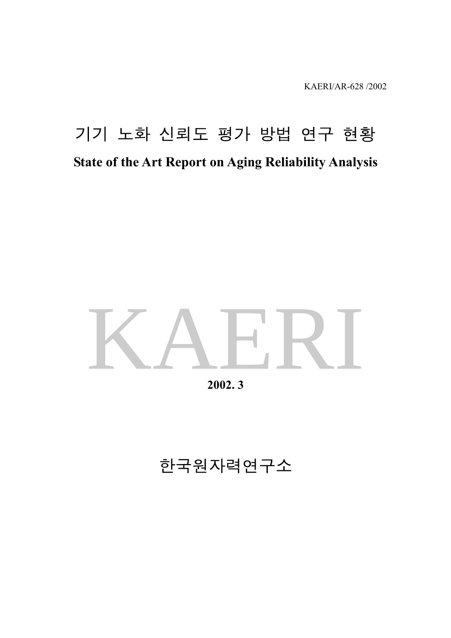KAERI/AR-628 /2002

## 기기 노화 신뢰도 평가 방법 연구 현황 **State of the Art Report on Aging Reliability Analysis**

# KAERI

**2002. 3** 

## 한국원자력연구소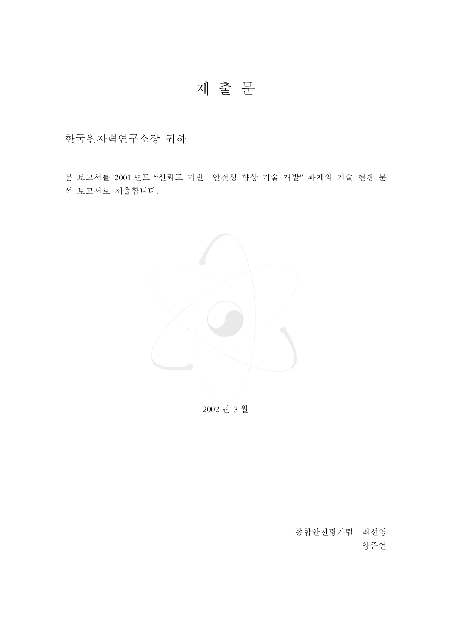### 제 출 문

한국원자력연구소장 귀하

본 보고서를 2001 년도 "신뢰도 기반 안전성 향상 기술 개발" 과제의 기술 현황 분 석 보고서로 제출합니다.



2002 년 3 월

종합안전평가팀 최선영 양준언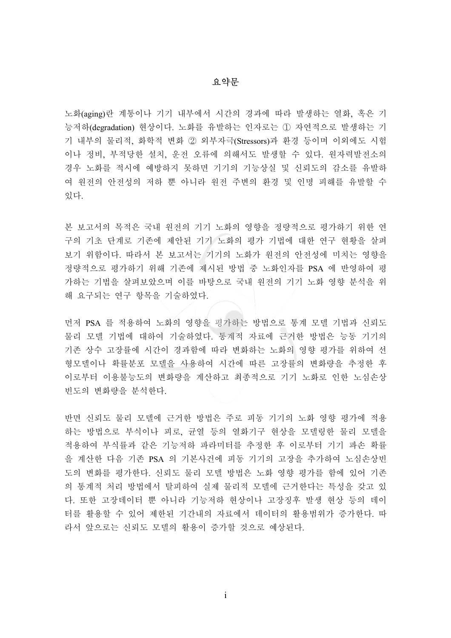#### 요약문

노화(aging)란 계통이나 기기 내부에서 시간의 경과에 따라 발생하는 열화, 혹은 기 능저하(degradation) 현상이다. 노화를 유발하는 인자로는 ① 자연적으로 발생하는 기 기 내부의 물리적, 화학적 변화 ② 외부자극(Stressors)과 환경 등이며 이외에도 시험 이나 정비, 부적당한 설치, 운전 오류에 의해서도 발생할 수 있다. 원자력발전소의 경우 노화를 적시에 예방하지 못하면 기기의 기능상실 및 신뢰도의 감소를 유발하 여 원전의 안전성의 저하 뿐 아니라 원전 주변의 환경 및 인명 피해를 유발할 수 있다.

본 보고서의 목적은 국내 원전의 기기 노화의 영향을 정량적으로 평가하기 위한 연 구의 기초 단계로 기존에 제안된 기기 노화의 평가 기법에 대한 연구 현황을 살펴 보기 위함이다. 따라서 본 보고서는 기기의 노화가 원전의 안전성에 미치는 영향을 정량적으로 평가하기 위해 기존에 제시된 방법 중 노화인자를 PSA 에 반영하여 평 가하는 기법을 살펴보았으며 이를 바탕으로 국내 원전의 기기 노화 영향 분석을 위 해 요구되는 연구 항목을 기술하였다.

먼저 PSA 를 적용하여 노화의 영향을 평가하는 방법으로 통계 모델 기법과 신뢰도 물리 모델 기법에 대하여 기술하였다. 통계적 자료에 근거한 방법은 능동 기기의 기존 상수 고장률에 시간이 경과함에 따라 변화하는 노화의 영향 평가를 위하여 선 형모델이나 확률분포 모델을 사용하여 시간에 따른 고장률의 변화량을 추정한 후 이로부터 이용불능도의 변화량을 계산하고 최종적으로 기기 노화로 인한 노심손상 빈도의 변화량을 분석한다.

반면 신뢰도 물리 모델에 근거한 방법은 주로 피동 기기의 노화 영향 평가에 적용 하는 방법으로 부식이나 피로, 균열 등의 열화기구 현상을 모델링한 물리 모델을 적용하여 부식률과 같은 기능저하 파라미터를 추정한 후 이로부터 기기 파손 확률 을 계산한 다음 기존 PSA 의 기본사건에 피동 기기의 고장을 추가하여 노심손상빈 도의 변화를 평가한다. 신뢰도 물리 모델 방법은 노화 영향 평가를 함에 있어 기존 의 통계적 처리 방법에서 탈피하여 실제 물리적 모델에 근거한다는 특성을 갖고 있 다. 또한 고장데이터 뿐 아니라 기능저하 현상이나 고장징후 발생 현상 등의 데이 터를 활용할 수 있어 제한된 기간내의 자료에서 데이터의 활용범위가 증가한다. 따 라서 앞으로는 신뢰도 모델의 활용이 증가할 것으로 예상된다.

<u>i</u>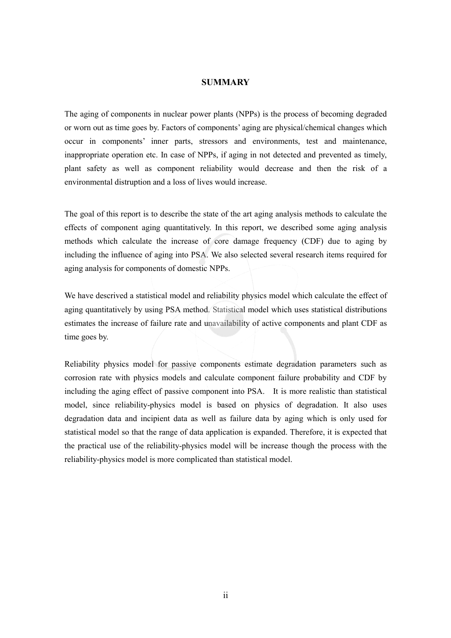#### **SUMMARY**

The aging of components in nuclear power plants (NPPs) is the process of becoming degraded or worn out as time goes by. Factors of components' aging are physical/chemical changes which occur in components' inner parts, stressors and environments, test and maintenance, inappropriate operation etc. In case of NPPs, if aging in not detected and prevented as timely, plant safety as well as component reliability would decrease and then the risk of a environmental distruption and a loss of lives would increase.

The goal of this report is to describe the state of the art aging analysis methods to calculate the effects of component aging quantitatively. In this report, we described some aging analysis methods which calculate the increase of core damage frequency (CDF) due to aging by including the influence of aging into PSA. We also selected several research items required for aging analysis for components of domestic NPPs.

We have descrived a statistical model and reliability physics model which calculate the effect of aging quantitatively by using PSA method. Statistical model which uses statistical distributions estimates the increase of failure rate and unavailability of active components and plant CDF as time goes by.

Reliability physics model for passive components estimate degradation parameters such as corrosion rate with physics models and calculate component failure probability and CDF by including the aging effect of passive component into PSA. It is more realistic than statistical model, since reliability-physics model is based on physics of degradation. It also uses degradation data and incipient data as well as failure data by aging which is only used for statistical model so that the range of data application is expanded. Therefore, it is expected that the practical use of the reliability-physics model will be increase though the process with the reliability-physics model is more complicated than statistical model.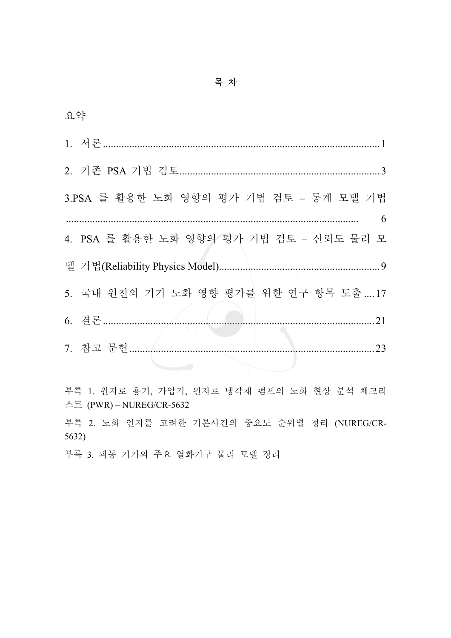| 요약 |                                         |
|----|-----------------------------------------|
|    |                                         |
|    |                                         |
|    | 3.PSA 를 활용한 노화 영향의 평가 기법 검토 - 통계 모델 기법  |
|    | 6                                       |
|    | 4. PSA 를 활용한 노화 영향의 평가 기법 검토 - 신뢰도 물리 모 |
|    |                                         |
|    | 5. 국내 원전의 기기 노화 영향 평가를 위한 연구 항목 도출17    |
|    | 21                                      |
|    | 7. 참고 문헌<br>23                          |
|    |                                         |

부록 1. 원자로 용기, 가압기, 원자로 냉각재 펌프의 노화 현상 분석 체크리 스트 (PWR)-NUREG/CR-5632

부록 2. 노화 인자를 고려한 기본사건의 중요도 순위별 정리 (NUREG/CR- $5632)$ 

부록 3. 피동 기기의 주요 열화기구 물리 모델 정리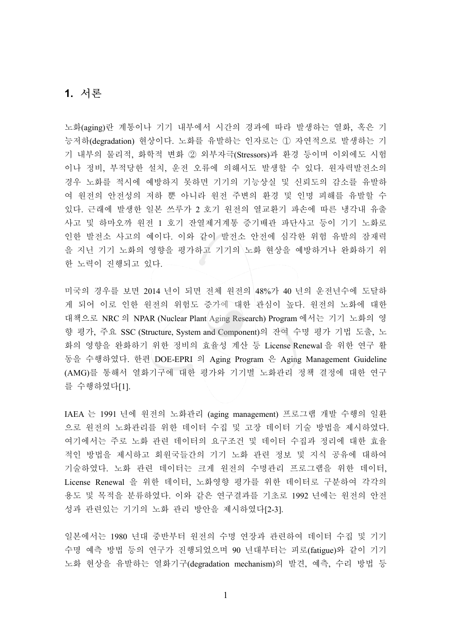#### **1.** ㍲⪶

노화(aging)란 계통이나 기기 내부에서 시간의 경과에 따라 발생하는 열화, 혹은 기 능저하(degradation) 현상이다. 노화를 유발하는 인자로는 ① 자연적으로 발생하는 기 기 내부의 물리적, 화학적 변화 ② 외부자극(Stressors)과 환경 등이며 이외에도 시험 이나 정비, 부적당한 설치, 운전 오류에 의해서도 발생할 수 있다. 원자력발전소의 경우 노화를 적시에 예방하지 못하면 기기의 기능상실 및 신뢰도의 감소를 유발하 여 원전의 안전성의 저하 뿐 아니라 원전 주변의 환경 및 인명 피해를 유발할 수 있다. 근래에 발생한 일본 쓰루가 2 호기 원전의 열교환기 파손에 따른 냉각내 유출 사고 및 하마오까 원전 1 호기 잔열제거계통 증기배관 파단사고 등이 기기 노화로 인한 발전소 사고의 예이다. 이와 같이 발전소 안전에 심각한 위험 유발의 잠재력 을 지닌 기기 노화의 영향을 평가하고 기기의 노화 현상을 예방하거나 완화하기 위 한 노력이 진행되고 있다.

미국의 경우를 보면 2014 년이 되면 전체 원전의 48%가 40 년의 운전년수에 도달하 게 되어 이로 인한 원전의 위험도 증가에 대한 관심이 높다. 원전의 노화에 대한 대책으로 NRC 의 NPAR (Nuclear Plant Aging Research) Program 에서는 기기 노화의 영 향 평가, 주요 SSC (Structure, System and Component)의 잔여 수명 평가 기법 도출, 노 화의 영향을 완화하기 위한 정비의 효율성 계산 등 License Renewal 을 위한 연구 활 동을 수행하였다. 한편 DOE-EPRI 의 Aging Program 은 Aging Management Guideline (AMG)를 통해서 열화기구에 대한 평가와 기기별 노화관리 정책 결정에 대한 연구 를 수행하였다[1].

IAEA 는 1991 년에 원전의 노화관리 (aging management) 프로그램 개발 수행의 일환 으로 원전의 노화관리를 위한 데이터 수집 및 고장 데이터 기술 방법을 제시하였다. 여기에서는 주로 노화 관련 데이터의 요구조건 및 데이터 수집과 정리에 대한 효율 적인 방법을 제시하고 회원국들간의 기기 노화 관련 정보 및 지식 공유에 대하여 기술하였다. 노화 관련 데이터는 크게 원전의 수명관리 프로그램을 위한 데이터, License Renewal 을 위한 데이터, 노화영향 평가를 위한 데이터로 구분하여 각각의 용도 및 목적을 분류하였다. 이와 같은 연구결과를 기초로 1992 년에는 원전의 안전 성과 관련있는 기기의 노화 관리 방안을 제시하였다[2-3].

일본에서는 1980 년대 중반부터 원전의 수명 연장과 관련하여 데이터 수집 및 기기 수명 예측 방법 등의 연구가 진행되었으며 90 년대부터는 피로(fatigue)와 같이 기기 노화 현상을 유발하는 열화기구(degradation mechanism)의 발견, 예측, 수리 방법 등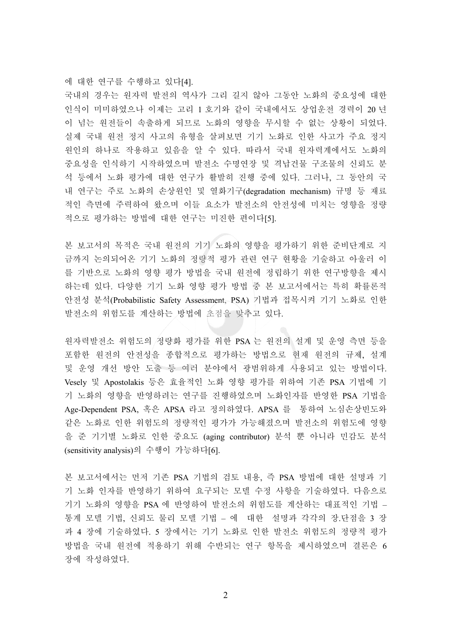에 대한 연구를 수행하고 있다[4].

국내의 경우는 원자력 발전의 역사가 그리 길지 않아 그동안 노화의 중요성에 대한 인식이 미미하였으나 이제는 고리 1 호기와 같이 국내에서도 상업운전 경력이 20 년 이 넘는 원전들이 속출하게 되므로 노화의 영향을 무시할 수 없는 상황이 되었다. 실제 국내 원전 정지 사고의 유형을 살펴보면 기기 노화로 인한 사고가 주요 정지 원인의 하나로 작용하고 있음을 알 수 있다. 따라서 국내 원자력계에서도 노화의 중요성을 인식하기 시작하였으며 발전소 수명연장 및 격납건물 구조물의 신뢰도 분 석 등에서 노화 평가에 대한 연구가 활발히 진행 중에 있다. 그러나, 그 동안의 국 내 연구는 주로 노화의 손상원인 및 열화기구(degradation mechanism) 규명 등 재료 적인 측면에 주력하여 왔으며 이들 요소가 발전소의 안전성에 미치는 영향을 정량 적으로 평가하는 방법에 대한 연구는 미진한 편이다[5].

본 보고서의 목적은 국내 원전의 기기 노화의 영향을 평가하기 위한 준비단계로 지 금까지 논의되어온 기기 노화의 정량적 평가 관련 연구 현황을 기술하고 아울러 이 를 기반으로 노화의 영향 평가 방법을 국내 원전에 정립하기 위한 연구방향을 제시 하는데 있다. 다양한 기기 노화 영향 평가 방법 중 본 보고서에서는 특히 확률론적 안전성 분석(Probabilistic Safety Assessment, PSA) 기법과 접목시켜 기기 노화로 인한 발전소의 위험도를 계산하는 방법에 초점을 맞추고 있다.

원자력발전소 위험도의 정량화 평가를 위한 PSA 는 원전의 설계 및 운영 측면 등을 포함한 원전의 안전성을 종합적으로 평가하는 방법으로 현재 원전의 규제, 설계 및 운영 개선 방안 도출 등 여러 분야에서 광범위하게 사용되고 있는 방법이다. Vesely 및 Apostolakis 등은 효율적인 노화 영향 평가를 위하여 기존 PSA 기법에 기 기 노화의 영향을 반영하려는 연구를 진행하였으며 노화인자를 반영한 PSA 기법을 Age-Dependent PSA, 혹은 APSA 라고 정의하였다. APSA 를 통하여 노심손상빈도와 같은 노화로 인한 위험도의 정량적인 평가가 가능해졌으며 발전소의 위험도에 영향 을 준 기기별 노화로 인한 중요도 (aging contributor) 분석 뿐 아니라 민감도 분석 (sensitivity analysis)의 수행이 가능하다[6].

본 보고서에서는 먼저 기존 PSA 기법의 검토 내용, 즉 PSA 방법에 대한 설명과 기 기 노화 인자를 반영하기 위하여 요구되는 모델 수정 사항을 기술하였다. 다음으로 기기 노화의 영향을 PSA 에 반영하여 발전소의 위험도를 계산하는 대표적인 기법 -통계 모델 기법, 신뢰도 물리 모델 기법 – 에 대한 설명과 각각의 장.단점을 3 장 과 4 장에 기술하였다. 5 장에서는 기기 노화로 인한 발전소 위험도의 정량적 평가 방법을 국내 원전에 적용하기 위해 수반되는 연구 항목을 제시하였으며 결론은 6 장에 작성하였다.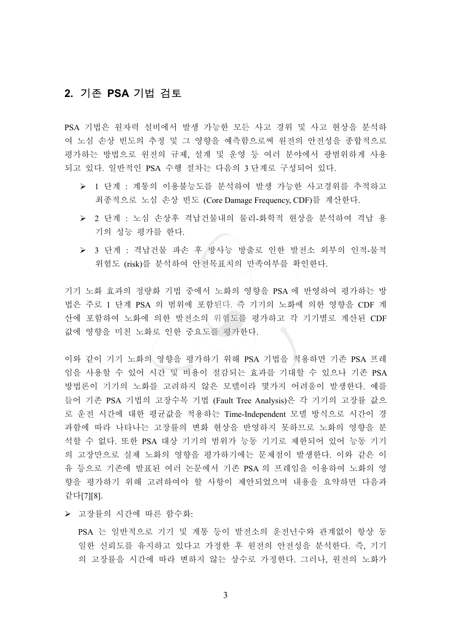#### 2. 기존 PSA 기법 검토

PSA 기법은 원자력 설비에서 발생 가능한 모든 사고 경위 및 사고 현상을 분석하 여 노심 손상 빈도의 추정 및 그 영향을 예측함으로써 원전의 안전성을 종합적으로 평가하는 방법으로 원전의 규제, 설계 및 운영 등 여러 분야에서 광범위하게 사용 되고 있다. 일반적인 PSA 수행 절차는 다음의 3 단계로 구성되어 있다.

- ▶ 1 단계 : 계통의 이용불능도를 분석하여 발생 가능한 사고경위를 추적하고 최종적으로 노심 손상 빈도 (Core Damage Frequency, CDF)를 계산한다.
- ▶ 2 단계 : 노심 손상후 격납건물내의 물리-화학적 현상을 분석하여 격납 용 기의 성능 평가를 한다.
- ▶ 3 단계 : 격납건물 파손 후 방사능 방출로 인한 발전소 외부의 인적-물적 위험도 (risk)를 분석하여 안전목표치의 만족여부를 확인한다.

기기 노화 효과의 정량화 기법 중에서 노화의 영향을 PSA 에 반영하여 평가하는 방 법은 주로 1 단계 PSA 의 범위에 포함된다. 즉 기기의 노화에 의한 영향을 CDF 계 산에 포함하여 노화에 의한 발전소의 위험도를 평가하고 각 기기별로 계산된 CDF 값에 영향을 미친 노화로 인한 중요도를 평가한다.

이와 같이 기기 노화의 영향을 평가하기 위해 PSA 기법을 적용하면 기존 PSA 프레 임을 사용할 수 있어 시간 및 비용이 절감되는 효과를 기대할 수 있으나 기존 PSA 방법론이 기기의 노화를 고려하지 않은 모델이라 몇가지 어려움이 발생한다. 예를 들어 기존 PSA 기법의 고장수목 기법 (Fault Tree Analysis)은 각 기기의 고장률 값으 로 운전 시간에 대한 평균값을 적용하는 Time-Independent 모델 방식으로 시간이 경 과함에 따라 나타나는 고장률의 변화 현상을 반영하지 못하므로 노화의 영향을 분 석할 수 없다. 또한 PSA 대상 기기의 범위가 능동 기기로 제한되어 있어 능동 기기 의 고장만으로 실제 노화의 영향을 평가하기에는 문제점이 발생한다. 이와 같은 이 유 등으로 기존에 발표된 여러 논문에서 기존 PSA 의 프레임을 이용하여 노화의 영 향을 평가하기 위해 고려하여야 할 사항이 제안되었으며 내용을 요약하면 다음과 ṯ┺[7][8].

▶ 고장률의 시간에 따른 함수화:

PSA 는 일반적으로 기기 및 계통 등이 발전소의 운전년수와 관계없이 항상 동 일한 신뢰도를 유지하고 있다고 가정한 후 원전의 안전성을 분석한다. 즉, 기기 의 고장률을 시간에 따라 변하지 않는 상수로 가정한다. 그러나, 워전의 노화가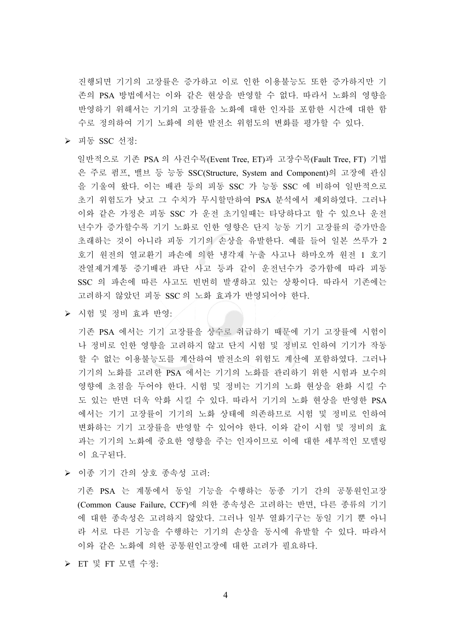진행되면 기기의 고장률은 증가하고 이로 인한 이용불능도 또한 증가하지만 기 존의 PSA 방법에서는 이와 같은 현상을 반영할 수 없다. 따라서 노화의 영향을 반영하기 위해서는 기기의 고장률을 노화에 대한 인자를 포함한 시간에 대한 함 수로 정의하여 기기 노화에 의한 발전소 위험도의 변화를 평가할 수 있다.

▶ 피동 SSC 선정:

일반적으로 기존 PSA 의 사건수목(Event Tree, ET)과 고장수목(Fault Tree, FT) 기법 은 주로 펌프, 밸브 등 능동 SSC(Structure, System and Component)의 고장에 관심 을 기울여 왔다. 이는 배관 등의 피동 SSC 가 능동 SSC 에 비하여 일반적으로 초기 위험도가 낮고 그 수치가 무시할만하여 PSA 분석에서 제외하였다. 그러나 이와 같은 가정은 피동 SSC 가 운전 초기일때는 타당하다고 할 수 있으나 운전 년수가 증가할수록 기기 노화로 인한 영향은 단지 능동 기기 고장률의 증가만을 초래하는 것이 아니라 피동 기기의 손상을 유발한다. 예를 들어 일본 쓰루가 2 호기 원전의 열교환기 파손에 의한 냉각재 누출 사고나 하마오까 원전 1 호기 잔열제거계통 증기배관 파단 사고 등과 같이 운전년수가 증가함에 따라 피동 SSC 의 파손에 따른 사고도 빈번히 발생하고 있는 상황이다. 따라서 기존에는 고려하지 않았던 피동 SSC 의 노화 효과가 반영되어야 한다.

▶ 시험 및 정비 효과 반영:

기존 PSA 에서는 기기 고장률을 상수로 취급하기 때문에 기기 고장률에 시험이 나 정비로 인한 영향을 고려하지 않고 단지 시험 및 정비로 인하여 기기가 작동 할 수 없는 이용불능도를 계산하여 발전소의 위험도 계산에 포함하였다. 그러나 기기의 노화를 고려한 PSA 에서는 기기의 노화를 관리하기 위한 시험과 보수의 영향에 초점을 두어야 한다. 시험 및 정비는 기기의 노화 현상을 완화 시킬 수 도 있는 반면 더욱 악화 시킬 수 있다. 따라서 기기의 노화 현상을 반영한 PSA 에서는 기기 고장률이 기기의 노화 상태에 의존하므로 시험 및 정비로 인하여 변화하는 기기 고장률을 반영할 수 있어야 한다. 이와 같이 시험 및 정비의 효 과는 기기의 노화에 중요한 영향을 주는 인자이므로 이에 대한 세부적인 모델링 이 요구된다.

▶ 이종 기기 간의 상호 종속성 고려:

기존 PSA 는 계통에서 동일 기능을 수행하는 동종 기기 간의 공통원인고장 (Common Cause Failure, CCF)에 의한 종속성은 고려하는 반면, 다른 종류의 기기 에 대한 종속성은 고려하지 않았다. 그러나 일부 열화기구는 동일 기기 뿐 아니 라 서로 다른 기능을 수행하는 기기의 손상을 동시에 유발할 수 있다. 따라서 이와 같은 노화에 의한 공통원인고장에 대한 고려가 필요하다.

▶ ET 및 FT 모델 수정: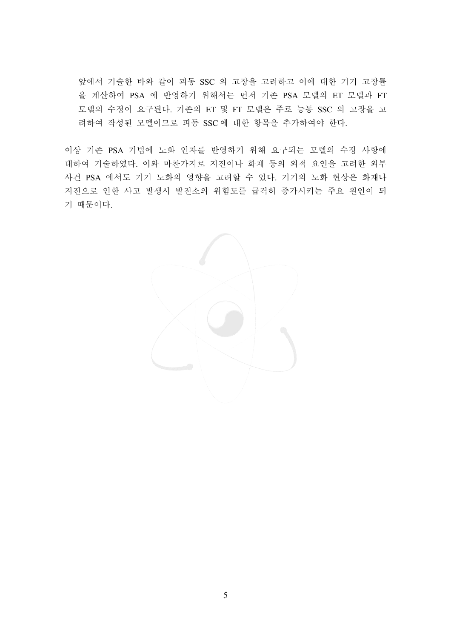앞에서 기술한 바와 같이 피동 SSC 의 고장을 고려하고 이에 대한 기기 고장률 을 계산하여 PSA 에 반영하기 위해서는 먼저 기존 PSA 모델의 ET 모델과 FT 모델의 수정이 요구된다. 기존의 ET 및 FT 모델은 주로 능동 SSC 의 고장을 고 려하여 작성된 모델이므로 피동 SSC 에 대한 항목을 추가하여야 한다.

이상 기존 PSA 기법에 노화 인자를 반영하기 위해 요구되는 모델의 수정 사항에 대하여 기술하였다. 이와 마찬가지로 지진이나 화재 등의 외적 요인을 고려한 외부 사건 PSA 에서도 기기 노화의 영향을 고려할 수 있다. 기기의 노화 현상은 화재나 지진으로 인한 사고 발생시 발전소의 위험도를 급격히 증가시키는 주요 원인이 되 기 때문이다.

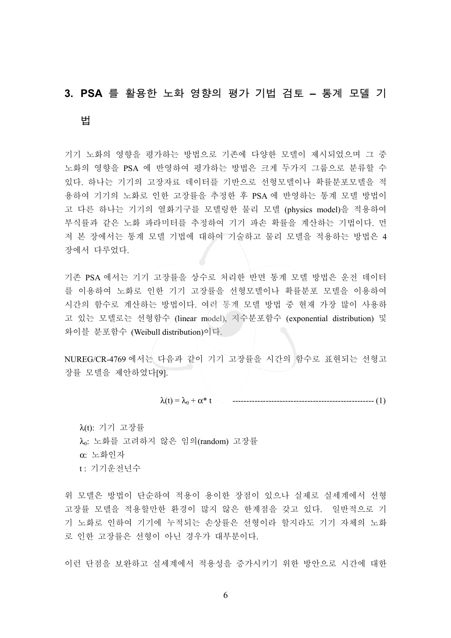#### 3. PSA 를 활용한 노화 영향의 평가 기법 검토 - 통계 모델 기

#### 憛

기기 노화의 영향을 평가하는 방법으로 기존에 다양한 모델이 제시되었으며 그 중 노화의 영향을 PSA 에 반영하여 평가하는 방법은 크게 두가지 그룹으로 분류할 수 있다. 하나는 기기의 고장자료 데이터를 기반으로 선형모델이나 확률분포모델을 적 용하여 기기의 노화로 인한 고장률을 추정한 후 PSA 에 반영하는 통계 모델 방법이 고 다른 하나는 기기의 열화기구를 모델링한 물리 모델 (physics model)을 적용하여 부식률과 같은 노화 파라미터를 추정하여 기기 파손 확률을 계산하는 기법이다. 먼 저 본 장에서는 통계 모델 기법에 대하여 기술하고 물리 모델을 적용하는 방법은 4 장에서 다루었다.

기존 PSA 에서는 기기 고장률을 상수로 처리한 반면 통계 모델 방법은 운전 데이터 를 이용하여 노화로 인한 기기 고장률을 선형모델이나 확률분포 모델을 이용하여 시간의 함수로 계산하는 방법이다. 여러 통계 모델 방법 중 현재 가장 많이 사용하 고 있는 모델로는 선형함수 (linear model), 지수분포함수 (exponential distribution) 및 와이블 분포함수 (Weibull distribution)이다.

NUREG/CR-4769 에서는 다음과 같이 기기 고장률을 시간의 함수로 표현되는 선형고 장률 모델을 제안하였다[9].

λ(t) = λ0 + α\* t --------------------------------------------------- (1)

 $λ(t)$ : 기기 고장률  $\lambda_0$ : 노화를 고려하지 않은 임의(random) 고장률  $\alpha$ : 노화인자 t: 기기운전년수

위 모델은 방법이 단순하여 적용이 용이한 장점이 있으나 실제로 실세계에서 선형 고장률 모델을 적용할만한 환경이 많지 않은 한계점을 갖고 있다. 일반적으로 기 기 노화로 인하여 기기에 누적되는 손상률은 선형이라 할지라도 기기 자체의 노화 로 인한 고장률은 선형이 아닌 경우가 대부분이다.

이런 단점을 보완하고 실세계에서 적용성을 증가시키기 위한 방안으로 시간에 대한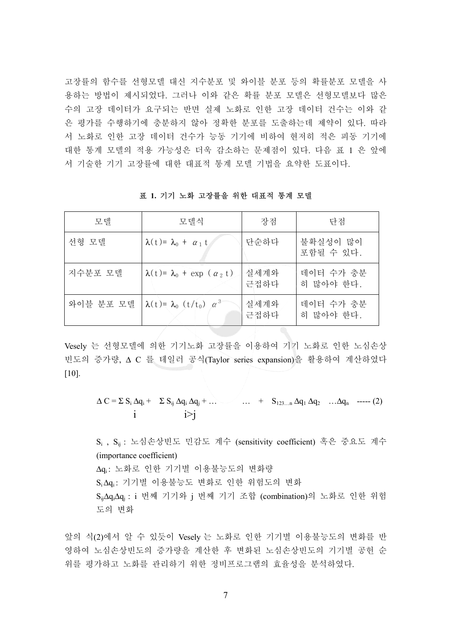고장률의 함수를 선형모델 대신 지수분포 및 와이블 분포 등의 확률분포 모델을 사 용하는 방법이 제시되었다. 그러나 이와 같은 확률 분포 모델은 선형모델보다 많은 수의 고장 데이터가 요구되는 반면 실제 노화로 인한 고장 데이터 건수는 이와 같 은 평가를 수행하기에 충분하지 않아 정확한 분포를 도출하는데 제약이 있다. 따라 서 노화로 인한 고장 데이터 건수가 능동 기기에 비하여 현저히 적은 피동 기기에 대한 통계 모델의 적용 가능성은 더욱 감소하는 문제점이 있다. 다음 표 1 은 앞에 서 기술한 기기 고장률에 대한 대표적 통계 모델 기법을 요약한 도표이다.

모델 | 모델식 | 강점 | 단점 선형 모델  $\lambda(t) = \lambda_0 + a_1 t$  난순하다 불확실성이 많이 포함될 수 있다. 지수분포 모델  $\lambda(t) = \lambda_0 + \exp((\alpha_2 t))$  실세계와 근접하다 데이터 수가 충분 히 많아야 한다. 와이블 분포 모델  $\lambda(t) = \lambda_0(t/t_0) \alpha^3$ 실세계와 근접하다 데이터 수가 충분 히 많아야 한다.

표 1. 기기 노화 고장률을 위한 대표적 통계 모델

Vesely 는 선형모델에 의한 기기노화 고장률을 이용하여 기기 노화로 인한 노심손상 빈도의 증가량, ∆ C 를 테일러 공식(Taylor series expansion)을 활용하여 계산하였다 [10].

$$
\Delta C = \sum S_i \Delta q_i + \sum S_{ij} \Delta q_i \Delta q_j + \dots + S_{123...n} \Delta q_1 \Delta q_2 \dots \Delta q_n \longrightarrow (2)
$$
  
i  $i > j$ 

S<sub>i</sub>, S<sub>ii</sub> : 노심손상빈도 민감도 계수 (sensitivity coefficient) 혹은 중요도 계수 (importance coefficient) ∆qi: 노화로 인한 기기별 이용불능도의 변화량 S,Δq,: 기기별 이용불능도 변화로 인한 위험도의 변화 S<sub>ii</sub>∆q<sub>i</sub>∆q<sub>i</sub> : i 번째 기기와 j 번째 기기 조합 (combination)의 노화로 인한 위험 도의 변화

앞의 식(2)에서 알 수 있듯이 Vesely 는 노화로 인한 기기별 이용불능도의 변화를 반 영하여 노심손상빈도의 증가량을 계산한 후 변화된 노심손상빈도의 기기별 공헌 순 위를 평가하고 노화를 관리하기 위한 정비프로그램의 효율성을 분석하였다.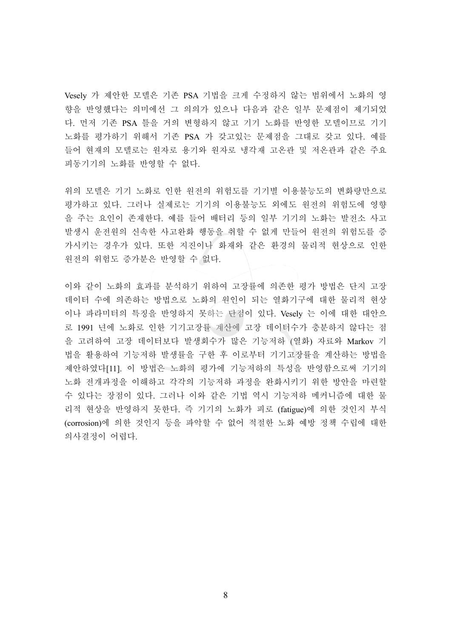Vesely 가 제안한 모델은 기존 PSA 기법을 크게 수정하지 않는 범위에서 노화의 영 향을 반영했다는 의미에선 그 의의가 있으나 다음과 같은 일부 문제점이 제기되었 다. 먼저 기존 PSA 틀을 거의 변형하지 않고 기기 노화를 반영한 모델이므로 기기 노화를 평가하기 위해서 기존 PSA 가 갖고있는 문제점을 그대로 갖고 있다. 예를 들어 현재의 모델로는 원자로 용기와 원자로 냉각재 고온관 및 저온관과 같은 주요 피동기기의 노화를 반영할 수 없다.

위의 모델은 기기 노화로 인한 원전의 위험도를 기기별 이용불능도의 변화량만으로 평가하고 있다. 그러나 실제로는 기기의 이용불능도 외에도 원전의 위험도에 영향 을 주는 요인이 존재한다. 예를 들어 배터리 등의 일부 기기의 노화는 발전소 사고 발생시 운전원의 신속한 사고완화 행동을 취할 수 없게 만들어 원전의 위험도를 증 가시키는 경우가 있다. 또한 지진이나 화재와 같은 환경의 물리적 현상으로 인한 원전의 위험도 증가분은 반영할 수 없다.

이와 같이 노화의 효과를 분석하기 위하여 고장률에 의존한 평가 방법은 단지 고장 데이터 수에 의존하는 방법으로 노화의 원인이 되는 열화기구에 대한 물리적 현상 이나 파라미터의 특징을 반영하지 못하는 단점이 있다. Vesely 는 이에 대한 대안으 로 1991 년에 노화로 인한 기기고장률 계산에 고장 데이터수가 충분하지 않다는 점 을 고려하여 고장 데이터보다 발생회수가 많은 기능저하 (열화) 자료와 Markov 기 법을 활용하여 기능저하 발생률을 구한 후 이로부터 기기고장률을 계산하는 방법을 제안하였다[11]. 이 방법은 노화의 평가에 기능저하의 특성을 반영함으로써 기기의 노화 전개과정을 이해하고 각각의 기능저하 과정을 완화시키기 위한 방안을 마련할 수 있다는 장점이 있다. 그러나 이와 같은 기법 역시 기능저하 메커니즘에 대한 물 리적 현상을 반영하지 못한다. 즉 기기의 노화가 피로 (fatigue)에 의한 것인지 부식 (corrosion)에 의한 것인지 등을 파악할 수 없어 적절한 노화 예방 정책 수립에 대한 의사결정이 어렵다.

8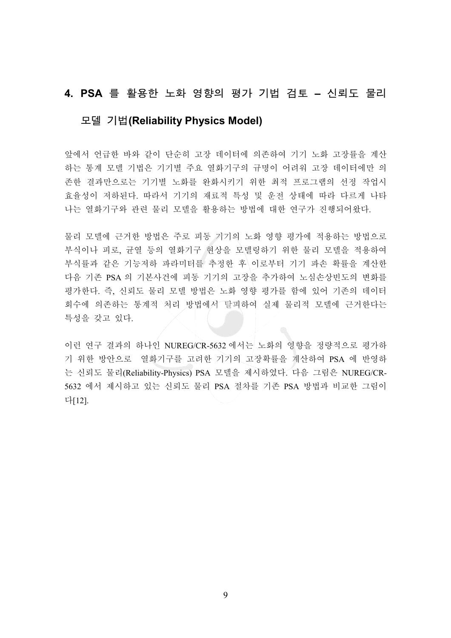#### 4. PSA 를 활용한 노화 영향의 평가 기법 검토 - 신뢰도 물리

#### 微塾 匶憛**(Reliability Physics Model)**

앞에서 어급한 바와 같이 다수히 고장 데이터에 의존하여 기기 노화 고장률을 계산 하는 통계 모델 기법은 기기별 주요 열화기구의 규명이 어려워 고장 데이터에만 의 존한 결과만으로는 기기별 노화를 완화시키기 위한 최적 프로그램의 선정 작업시 효율성이 저하된다. 따라서 기기의 재료적 특성 및 운전 상태에 따라 다르게 나타 나는 열화기구와 관련 물리 모델을 활용하는 방법에 대한 연구가 진행되어왔다.

물리 모델에 근거한 방법은 주로 피동 기기의 노화 영향 평가에 적용하는 방법으로 부식이나 피로, 균열 등의 열화기구 현상을 모델링하기 위한 물리 모델을 적용하여 부식률과 같은 기능저하 파라미터를 추정한 후 이로부터 기기 파손 확률을 계산한 다음 기존 PSA 의 기본사건에 피동 기기의 고장을 추가하여 노심손상빈도의 변화를 평가한다. 즉, 신뢰도 물리 모델 방법은 노화 영향 평가를 함에 있어 기존의 데이터 회수에 의존하는 통계적 처리 방법에서 탈피하여 실제 물리적 모델에 근거한다는 특성을 갖고 있다.

이런 연구 결과의 하나인 NUREG/CR-5632 에서는 노화의 영향을 정량적으로 평가하 기 위한 방안으로 열화기구를 고려한 기기의 고장확률을 계산하여 PSA 에 반영하 는 신뢰도 물리(Reliability-Physics) PSA 모델을 제시하였다. 다음 그림은 NUREG/CR-5632 에서 제시하고 있는 신뢰도 물리 PSA 절차를 기존 PSA 방법과 비교한 그림이 ┺[12].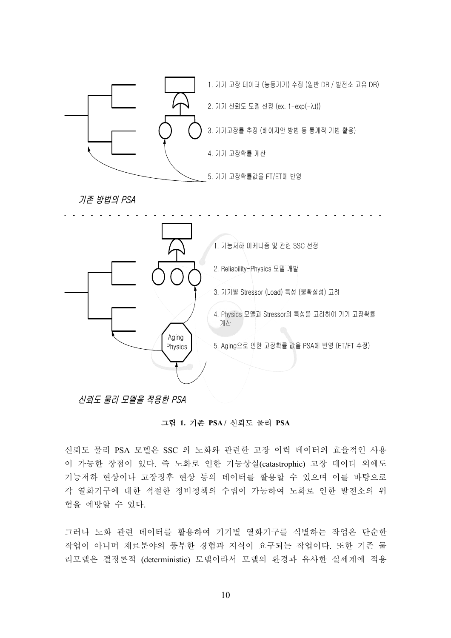

#### 신뢰도 물리 모델을 적용한 PSA

#### ⁎Ⱂ **1.** ₆㫊 **PSA /** 㔶⬆☚ ⶒⰂ **PSA**

신뢰도 물리 PSA 모델은 SSC 의 노화와 관련한 고장 이력 데이터의 효율적인 사용 이 가능한 장점이 있다. 즉 노화로 인한 기능상실(catastrophic) 고장 데이터 외에도 기능저하 현상이나 고장징후 현상 등의 데이터를 활용할 수 있으며 이를 바탕으로 각 열화기구에 대한 적절한 정비정책의 수립이 가능하여 노화로 인한 발전소의 위 험을 예방할 수 있다.

그러나 노화 관련 데이터를 활용하여 기기별 열화기구를 식별하는 작업은 단순한 작업이 아니며 재료분야의 풍부한 경험과 지식이 요구되는 작업이다. 또한 기존 물 리모델은 결정론적 (deterministic) 모델이라서 모델의 환경과 유사한 실세계에 적용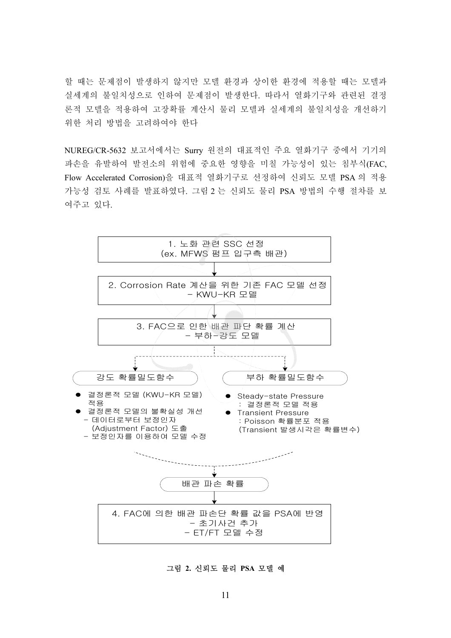할 때는 문제점이 발생하지 않지만 모델 환경과 상이한 환경에 적용할 때는 모델과 실세계의 불일치성으로 인하여 문제점이 발생한다. 따라서 열화기구와 관련된 결정 론적 모델을 적용하여 고장확률 계산시 물리 모델과 실세계의 불일치성을 개선하기 위한 처리 방법을 고려하여야 한다

NUREG/CR-5632 보고서에서는 Surry 원전의 대표적인 주요 열화기구 중에서 기기의 파손을 유발하여 발전소의 위험에 중요한 영향을 미칠 가능성이 있는 침부식(FAC, Flow Accelerated Corrosion)을 대표적 열화기구로 선정하여 신뢰도 모델 PSA 의 적용 가능성 검토 사례를 발표하였다. 그림 2 는 신뢰도 물리 PSA 방법의 수행 절차를 보 여주고 있다.



그림 2. 신뢰도 물리 PSA 모델 예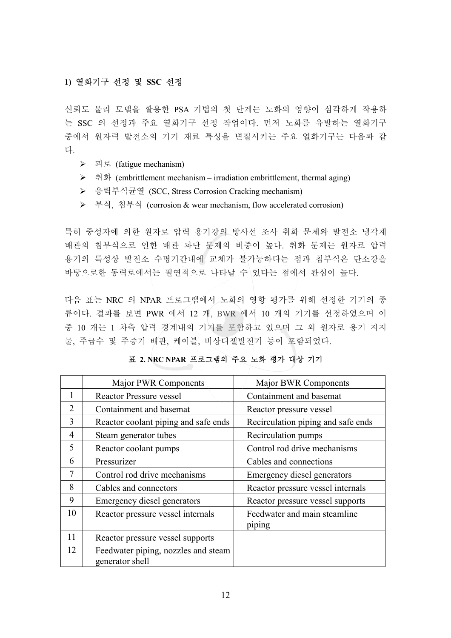#### 1) 열화기구 선정 및 SSC 선정

신뢰도 물리 모델을 활용한 PSA 기법의 첫 단계는 노화의 영향이 심각하게 작용하 는 SSC 의 선정과 주요 열화기구 선정 작업이다. 먼저 노화를 유발하는 열화기구 중에서 원자력 발전소의 기기 재료 특성을 변질시키는 주요 열화기구는 다음과 같 다.

- $\triangleright$   $\exists \exists$  (fatigue mechanism)
- ▶ 취화 (embrittlement mechanism irradiation embrittlement, thermal aging)
- ▶ 응력부식균열 (SCC, Stress Corrosion Cracking mechanism)
- ▶ 부식, 침부식 (corrosion & wear mechanism, flow accelerated corrosion)

특히 중성자에 의한 원자로 압력 용기강의 방사선 조사 취화 문제와 발전소 냉각재 배관의 침부식으로 인한 배관 파단 문제의 비중이 높다. 취화 문제는 원자로 압력 용기의 특성상 발전소 수명기간내에 교체가 불가능하다는 점과 침부식은 탄소강을 바탕으로한 동력로에서는 필연적으로 나타날 수 있다는 점에서 관심이 높다.

다음 표는 NRC 의 NPAR 프로그램에서 노화의 영향 평가를 위해 선정한 기기의 종 류이다. 결과를 보면 PWR 에서 12 개, BWR 에서 10 개의 기기를 선정하였으며 이 중 10 개는 1 차측 압력 경계내의 기기를 포함하고 있으며 그 외 원자로 용기 지지 물, 주급수 및 주증기 배관, 케이블, 비상디젤발전기 등이 포함되었다.

|                             | <b>Major PWR Components</b>                            | Major BWR Components                   |
|-----------------------------|--------------------------------------------------------|----------------------------------------|
| 1                           | Reactor Pressure vessel                                | Containment and basemat                |
| $\mathcal{D}_{\mathcal{L}}$ | Containment and basemat                                | Reactor pressure vessel                |
| 3                           | Reactor coolant piping and safe ends                   | Recirculation piping and safe ends     |
| 4                           | Steam generator tubes                                  | Recirculation pumps                    |
| 5                           | Reactor coolant pumps                                  | Control rod drive mechanisms           |
| 6                           | Pressurizer                                            | Cables and connections                 |
| 7                           | Control rod drive mechanisms                           | Emergency diesel generators            |
| 8                           | Cables and connectors                                  | Reactor pressure vessel internals      |
| 9                           | Emergency diesel generators                            | Reactor pressure vessel supports       |
| 10                          | Reactor pressure vessel internals                      | Feedwater and main steamline<br>piping |
| 11                          | Reactor pressure vessel supports                       |                                        |
| 12                          | Feedwater piping, nozzles and steam<br>generator shell |                                        |

#### 표 2. NRC NPAR 프로그램의 주요 노화 평가 대상 기기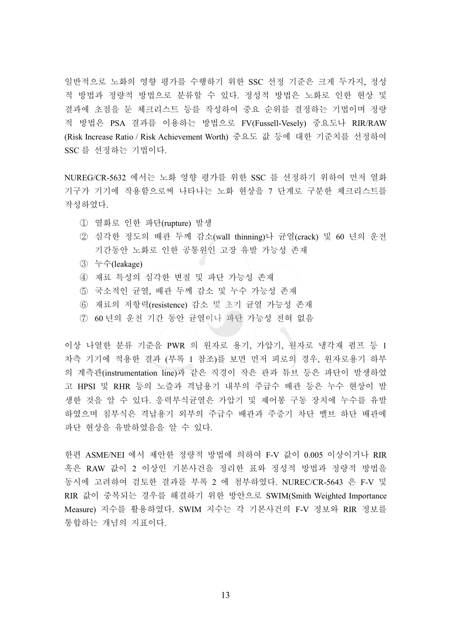일반적으로 노화의 영향 평가를 수행하기 위한 SSC 선정 기준은 크게 두가지, 정성 적 방법적 방법으로 분류할 수 있다. 정성적 방법은 노화로 인한 현상 및 결과에 초점을 둔 체크리스트 등를 작성하여 중요 순위를 결정하는 기법이며 정량 적 방법은 PSA 결과를 이용하는 방법으로 FV(Fussell-Vesely) 중요도나 RIR/RAW (Risk Increase Ratio / Risk Achievement Worth) 중요도 값 등에 대한 기준치를 선정하여 SSC 를 선정하는 기법이다.

NUREG/CR-5632 에서는 노화 영향 평가를 위한 SSC 를 선정하기 위하여 먼저 열화 기구가 기기에 작용함으로써 나타나는 노화 현상을 7 단계로 구분한 체크리스트를 작성하였다.

- ① 열화로 인한 파단(rupture) 발생
- ② 심각한 정도의 배관 두께 감소(wall thinning)나 균열(crack) 및 60 년의 운전 기간동안 노화로 인한 공통원인 고장 유발 가능성 존재
- ཝ 㑮(leakage)
- 4) 재료 특성의 심각한 변질 및 파단 가능성 존재
- 5 국소적인 균열, 배관 두께 감소 및 누수 가능성 존재
- 6 재료의 저항력(resistence) 감소 및 초기 균열 가능성 존재
- 7 60 년의 운전 기간 동안 균열이나 파단 가능성 전혀 없음

이상 나열한 분류 기준을 PWR 의 원자로 용기, 가압기, 원자로 냉각재 펌프 등 1 차측 기기에 적용한 결과 (부록 1 참조)를 보면 먼저 피로의 경우, 원자로용기 하부 의 계측관(instrumentation line)과 같은 직경이 작은 관과 튜브 등은 파단이 발생하였 고 HPSI 및 RHR 등의 노즐과 격납용기 내부의 주급수 배관 등은 누수 현상이 발 생한 것을 알 수 있다. 응력부식균열은 가압기 및 제어봉 구동 장치에 누수를 유발 하였으며 침부식은 격납용기 외부의 주급수 배관과 주증기 차단 밸브 하단 배관에 파단 현상을 유발하였음을 알 수 있다.

한편 ASME/NEI 에서 제안한 정량적 방법에 의하여 F-V 값이 0.005 이상이거나 RIR 혹은 RAW 값이 2 이상인 기본사건을 정리한 표와 정성적 방법과 정량적 방법을 동시에 고려하여 검토한 결과를 부록 2 에 첨부하였다. NUREC/CR-5643 은 F-V 및 RIR 값이 중복되는 경우를 해결하기 위한 방안으로 SWIM(Smith Weighted Importance Measure) 지수를 활용하였다. SWIM 지수는 각 기본사건의 F-V 정보와 RIR 정보를 통합하는 개념의 지표이다.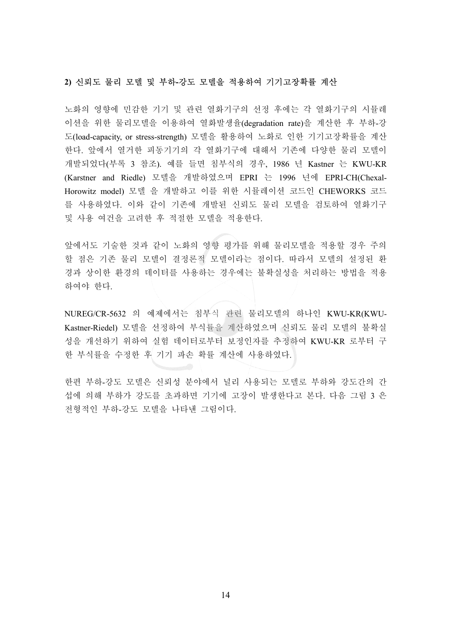#### 2) 신뢰도 물리 모델 및 부하-강도 모델을 적용하여 기기고장확률 계산

노화의 영향에 민감한 기기 및 관련 열화기구의 선정 후에는 각 열화기구의 시뮬레 이션을 위한 물리모델을 이용하여 열화발생율(degradation rate)을 계산한 후 부하-강 도(load-capacity, or stress-strength) 모델을 활용하여 노화로 인한 기기고장확률을 계산 한다. 앞에서 열거한 피동기기의 각 열화기구에 대해서 기존에 다양한 물리 모델이 개발되었다(부록 3 참조). 예를 들면 침부식의 경우, 1986 년 Kastner 는 KWU-KR (Karstner and Riedle) 모델을 개발하였으며 EPRI 는 1996 년에 EPRI-CH(Chexal-Horowitz model) 모델 을 개발하고 이를 위한 시뮬레이션 코드인 CHEWORKS 코드 를 사용하였다. 이와 같이 기존에 개발된 신뢰도 물리 모델을 검토하여 열화기구 및 사용 여건을 고려한 후 적절한 모델을 적용한다.

앞에서도 기술한 것과 같이 노화의 영향 평가를 위해 물리모델을 적용할 경우 주의 할 점은 기존 물리 모델이 결정론적 모델이라는 점이다. 따라서 모델의 설정된 환 경과 상이한 환경의 데이터를 사용하는 경우에는 불확실성을 처리하는 방법을 적용 하여야 한다.

NUREG/CR-5632 의 예제에서는 침부식 관련 물리모델의 하나인 KWU-KR(KWU-Kastner-Riedel) 모델을 선정하여 부식률을 계산하였으며 신뢰도 물리 모델의 불확실 성을 개선하기 위하여 실험 데이터로부터 보정인자를 추정하여 KWU-KR 로부터 구 한 부식률을 수정한 휘 기기 파손 확률 계산에 사용하였다.

한편 부하-강도 모델은 신뢰성 분야에서 널리 사용되는 모델로 부하와 강도간의 간 섭에 의해 부하가 강도를 초과하면 기기에 고장이 발생한다고 본다. 다음 그림 3 은 전형적인 부하-강도 모델을 나타낸 그림이다.

14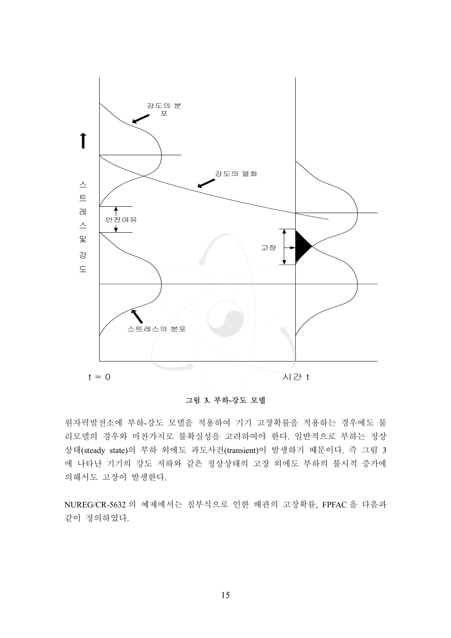

그림 3. 부하-강도 모델

원자력발전소에 부하-강도 모델을 적용하여 기기 고장확률을 적용하는 경우에도 물 리모델의 경우와 마찬가지로 불확실성을 고려하여야 한다. 일반적으로 부하는 정상 상태(steady state)의 부하 외에도 과도사건(transient)이 발생하기 때문이다. 즉 그림 3 에 나타난 기기의 강도 저하와 같은 정상상태의 고장 외에도 부하의 불시적 증가에 의해서도 고장이 발생한다.

NUREG/CR-5632 의 예제에서는 침부식으로 인한 배관의 고장확률, FPFAC 을 다음과 같이 정의하였다.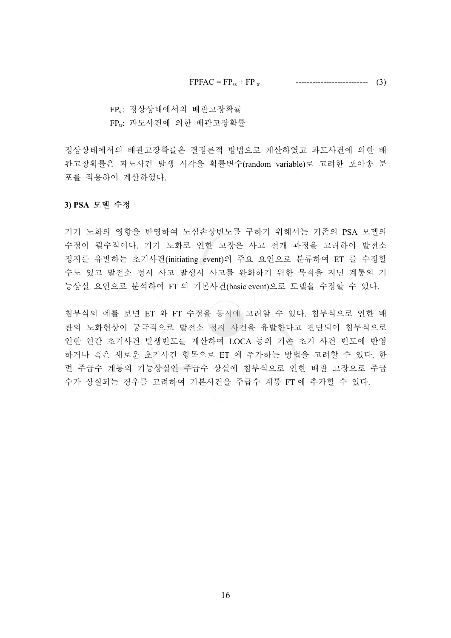$FPPAC = FP_{ss} + FP_{tr}$  -------------------------------- (3)

FPs: 정상상태에서의 배관고장확률

FPt: 과도사건에 의한 배관고장확률

정상상태에서의 배관고장확률은 결정론적 방법으로 계산하였고 과도사건에 의한 배 관고장확률은 과도사건 발생 시각을 확률변수(random variable)로 고려한 포아송 분 포를 적용하여 계산하였다.

#### 3) PSA 모델 수정

기기 노화의 영향을 반영하여 노심손상빈도를 구하기 위해서는 기존의 PSA 모델의 수정이 필수적이다. 기기 노화로 인한 고장은 사고 전개 과정을 고려하여 발전소 정지를 유발하는 초기사건(initiating event)의 주요 요인으로 분류하여 ET 를 수정할 수도 있고 발전소 정시 사고 발생시 사고를 완화하기 위한 목적을 지닌 계통의 기 능상실 요인으로 분석하여 FT 의 기본사건(basic event)으로 모델을 수정할 수 있다.

침부식의 예를 보면 ET 와 FT 수정을 동시에 고려할 수 있다. 침부식으로 인한 배 관의 노화현상이 궁극적으로 발전소 정지 사건을 유발한다고 판단되어 침부식으로 인한 연간 초기사건 발생빈도를 계산하여 LOCA 등의 기존 초기 사건 빈도에 반영 하거나 혹은 새로운 초기사건 항목으로 ET 에 추가하는 방법을 고려할 수 있다. 한 편 주급수 계통의 기능상실인 주급수 상실에 침부식으로 인한 배관 고장으로 주급 수가 상실되는 경우를 고려하여 기본사건을 주급수 계통 FT 에 추가할 수 있다.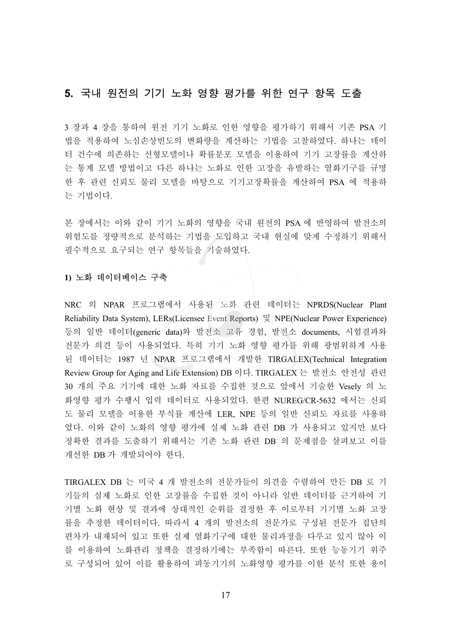#### 5. 국내 원전의 기기 노화 영향 평가를 위한 연구 항목 도출

3 장과 4 장을 통하여 원전 기기 노화로 인한 영향을 평가하기 위해서 기존 PSA 기 법을 적용하여 노심손상빈도의 변화량을 계산하는 기법을 고찰하였다. 하나는 데이 터 건수에 의존하는 선형모델이나 확률부포 모델을 이용하여 기기 고장률을 계산하 는 통계 모델 방법이고 다른 하나는 노화로 인한 고장을 유발하는 열화기구를 규명 한 후 관련 신뢰도 물리 모델을 바탕으로 기기고장확률을 계산하여 PSA 에 적용하 는 기법이다.

본 장에서는 이와 같이 기기 노화의 영향을 국내 원전의 PSA 에 반영하여 발전소의 위험도를 정량적으로 분석하는 기법을 도입하고 국내 현실에 맞게 수정하기 위해서 필수적으로 요구되는 연구 항목들을 기술하였다.

#### 1) 노화 데이터베이스 구축

NRC 의 NPAR 프로그램에서 사용된 노화 관련 데이터는 NPRDS(Nuclear Plant Reliability Data System), LERs(Licensee Event Reports) 및 NPE(Nuclear Power Experience) 등의 일반 데이터(generic data)와 발전소 고유 경험, 발전소 documents, 시험결과와 전문가 의견 등이 사용되었다. 특히 기기 노화 영향 평가를 위해 광범위하게 사용 된 데이터는 1987 년 NPAR 프로그램에서 개발한 TIRGALEX(Technical Integration Review Group for Aging and Life Extension) DB 이다. TIRGALEX 는 발전소 안전성 관련 30 개의 주요 기기에 대한 노화 자료를 수집한 것으로 앞에서 기술한 Vesely 의 노 화영향 평가 수행시 입력 데이터로 사용되었다. 한편 NUREG/CR-5632 에서는 신뢰 도 물리 모델을 이용한 부식률 계산에 LER, NPE 등의 일반 신뢰도 자료를 사용하 였다. 이와 같이 노화의 영향 평가에 실제 노화 관련 DB 가 사용되고 있지만 보다 정확한 결과를 도출하기 위해서는 기존 노화 관련 DB 의 문제점을 살펴보고 이를 개선한 DB 가 개발되어야 한다.

TIRGALEX DB 는 미국 4 개 발전소의 전문가들이 의견을 수렴하여 만든 DB 로 기 기들의 실제 노화로 인한 고장률을 수집한 것이 아니라 일반 데이터를 근거하여 기 기별 노화 현상 및 결과에 상대적인 순위를 결정한 후 이로부터 기기별 노화 고장 률을 추정한 데이터이다. 따라서 4 개의 발전소의 전문가로 구성된 전문가 집단의 편차가 내재되어 있고 또한 실제 열화기구에 대한 물리과정을 다루고 있지 않아 이 를 이용하여 노화관리 정책을 결정하기에는 부족함이 따른다. 또한 능동기기 위주 로 구성되어 있어 이를 활용하여 피동기기의 노화영향 평가를 이한 분석 또한 용이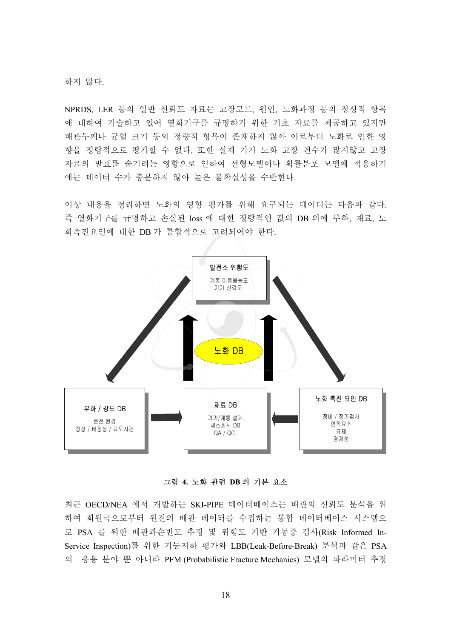하지 않다.

NPRDS, LER 등의 일반 신뢰도 자료는 고장모드, 원인, 노화과정 등의 정성적 항목 에 대하여 기술하고 있어 열화기구를 규명하기 위한 기초 자료를 제공하고 있지만 배관두께나 균열 크기 등의 정량적 항목이 존재하지 않아 이로부터 노화로 인한 영 향을 정량적으로 평가할 수 없다. 또한 실제 기기 노화 고장 건수가 많지않고 고장 자료의 발표를 숨기려는 영향으로 인하여 선형모델이나 확률분포 모델에 적용하기 에는 데이터 수가 충분하지 않아 높은 불확실성을 수반한다.

이상 내용을 정리하면 노화의 영향 평가를 위해 요구되는 데이터는 다음과 같다. 즉 열화기구를 규명하고 손실된 loss 에 대한 정량적인 값의 DB 외에 부하, 재료, 노 화촉진요인에 대한 DB 가 통합적으로 고려되어야 한다.



그림 4. 노화 관련 DB 의 기본 요소

최근 OECD/NEA 에서 개발하는 SKI-PIPE 데이터베이스는 배관의 신뢰도 분석을 위 하여 회원국으로부터 원전의 배관 데이터를 수집하는 통합 데이터베이스 시스템으 로 PSA 를 위한 배관파손빈도 추정 및 위험도 기반 가동중 검사(Risk Informed In-Service Inspection)를 위한 기능저하 평가와 LBB(Leak-Before-Break) 분석과 같은 PSA 의 응용 분야 뿐 아니라 PFM (Probabilistic Fracture Mechanics) 모델의 파라미터 추정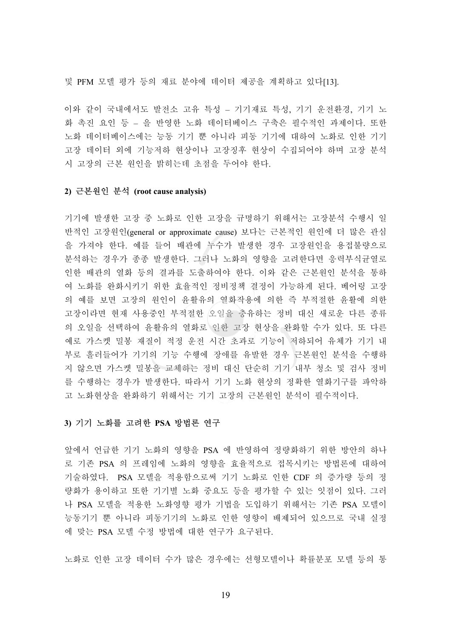및 PFM 모델 평가 등의 재료 분야에 데이터 제공을 계획하고 있다[13].

이와 같이 국내에서도 발전소 고유 특성 - 기기재료 특성, 기기 운전환경, 기기 노 화 촉진 요인 등 – 을 반영한 노화 데이터베이스 구축은 필수적인 과제이다. 또한 노화 데이터베이스에는 능동 기기 뿐 아니라 피동 기기에 대하여 노화로 인한 기기 고장 데이터 외에 기능저하 현상이나 고장징후 현상이 수집되어야 하며 고장 분석 시 고장의 근본 워인을 밝히는데 초점을 두어야 한다.

#### **2)** ⁒⽎㤦㧎 ㍳ **(root cause analysis)**

기기에 발생한 고장 중 노화로 인한 고장을 규명하기 위해서는 고장분석 수행시 일 반적인 고장원인(general or approximate cause) 보다는 근본적인 원인에 더 많은 관심 을 가져야 한다. 예를 들어 배관에 누수가 발생한 경우 고장원인을 용접불량으로 분석하는 경우가 종종 발생한다. 그러나 노화의 영향을 고려한다면 응력부식균열로 인한 배관의 열화 등의 결과를 도출하여야 한다. 이와 같은 근본원인 분석을 통하 여 노화를 완화시키기 위한 효율적인 정비정책 결정이 가능하게 된다. 베어링 고장 의 예를 보면 고장의 원인이 윤활유의 열화작용에 의한 즉 부적절한 윤활에 의한 고장이라면 현재 사용중인 부적절한 오일을 충유하는 정비 대신 새로운 다른 종류 의 오일을 선택하여 윤활유의 열화로 인한 고장 현상을 완화할 수가 있다. 또 다른 예로 가스켓 밀봉 재질이 적정 운전 시간 초과로 기능이 저하되어 유체가 기기 내 부로 흘러들어가 기기의 기능 수행에 장애를 유발한 경우 근본원인 분석을 수행하 지 않으면 가스켓 밀봉을 교체하는 정비 대신 단순히 기기 내부 청소 및 검사 정비 를 수행하는 경우가 발생한다. 따라서 기기 노화 현상의 정확한 열화기구를 파악하 고 노화현상을 완화하기 위해서는 기기 고장의 근본원인 분석이 필수적이다.

#### 3) 기기 노화를 고려한 PSA 방법론 연구

앞에서 언급한 기기 노화의 영향을 PSA 에 반영하여 정량화하기 위한 방안의 하나 로 기존 PSA 의 프레임에 노화의 영향을 효율적으로 접목시키는 방법론에 대하여 기술하였다. PSA 모델을 적용함으로써 기기 노화로 인한 CDF 의 증가량 등의 정 량화가 용이하고 또한 기기별 노화 중요도 등을 평가할 수 있는 잇점이 있다. 그러 나 PSA 모델을 적용한 노화영향 평가 기법을 도입하기 위해서는 기존 PSA 모델이 능동기기 뿐 아니라 피동기기의 노화로 인한 영향이 배제되어 있으므로 국내 실정 에 맞는 PSA 모델 수정 방법에 대한 연구가 요구된다.

노화로 인한 고장 데이터 수가 많은 경우에는 선형모델이나 확률분포 모델 등의 통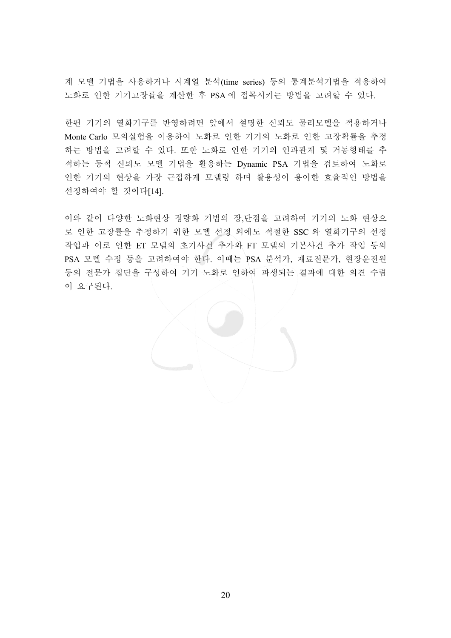계 모델 기법을 사용하거나 시계열 분석(time series) 등의 통계분석기법을 적용하여 노화로 인한 기기고장률을 계산한 후 PSA 에 접목시키는 방법을 고려할 수 있다.

한편 기기의 열화기구를 반영하려면 앞에서 설명한 신뢰도 물리모델을 적용하거나 Monte Carlo 모의실험을 이용하여 노화로 인한 기기의 노화로 인한 고장확률을 추정 하는 방법을 고려할 수 있다. 또한 노화로 인한 기기의 인과관계 및 거동형태를 추 적하는 동적 신뢰도 모델 기법을 활용하는 Dynamic PSA 기법을 검토하여 노화로 인한 기기의 현상을 가장 근접하게 모델링 하며 활용성이 용이한 효율적인 방법을 선정하여야 할 것이다[14].

이와 같이 다양한 노화현상 정량화 기법의 장,단점을 고려하여 기기의 노화 현상으 로 인한 고장률을 추정하기 위한 모델 선정 외에도 적절한 SSC 와 열화기구의 선정 작업과 이로 인한 ET 모델의 초기사건 추가와 FT 모델의 기본사건 추가 작업 등의 PSA 모델 수정 등을 고려하여야 한다. 이때는 PSA 분석가, 재료전문가, 현장운전원 등의 전문가 집단을 구성하여 기기 노화로 인하여 파생되는 결과에 대한 의견 수렴 이 요구된다.

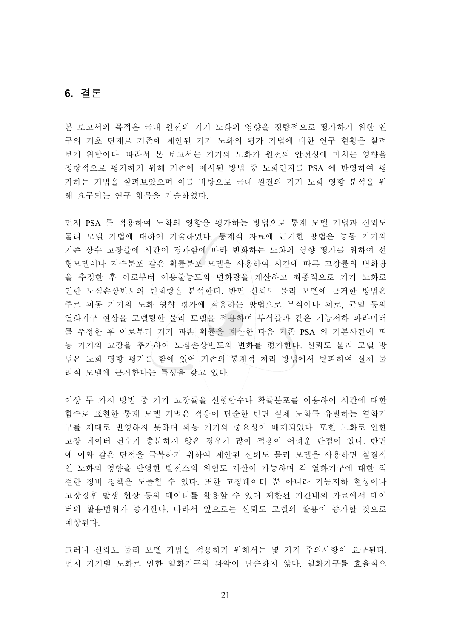#### **6.** 冶嵦

본 보고서의 목적은 국내 원전의 기기 노화의 영향을 정량적으로 평가하기 위한 연 구의 기초 단계로 기존에 제안된 기기 노화의 평가 기법에 대한 연구 현황을 살펴 보기 위함이다. 따라서 본 보고서는 기기의 노화가 원전의 안전성에 미치는 영향을 정량적으로 평가하기 위해 기존에 제시된 방법 중 노화인자를 PSA 에 반영하여 평 가하는 기법을 살펴보았으며 이를 바탕으로 국내 원전의 기기 노화 영향 분석을 위 해 요구되는 연구 항목을 기술하였다.

먼저 PSA 를 적용하여 노화의 영향을 평가하는 방법으로 통계 모델 기법과 신뢰도 물리 모델 기법에 대하여 기술하였다. 통계적 자료에 근거한 방법은 능동 기기의 기존 상수 고장률에 시간이 경과함에 따라 변화하는 노화의 영향 평가를 위하여 선 형모델이나 지수분포 같은 확률분포 모델을 사용하여 시간에 따른 고장률의 변화량 을 추정한 후 이로부터 이용불능도의 변화량을 계산하고 최종적으로 기기 노화로 인한 노심손상빈도의 변화량을 분석한다. 반면 신뢰도 물리 모델에 근거한 방법은 주로 피동 기기의 노화 영향 평가에 적용하는 방법으로 부식이나 피로, 균열 등의 열화기구 현상을 모델링한 물리 모델을 적용하여 부식률과 같은 기능저하 파라미터 를 추정한 후 이로부터 기기 파손 확률을 계산한 다음 기존 PSA 의 기본사건에 피 동 기기의 고장을 추가하여 노심손상빈도의 변화를 평가한다. 신뢰도 물리 모델 방 법은 노화 영향 평가를 함에 있어 기존의 통계적 처리 방법에서 탈피하여 실제 물 리적 모델에 근거한다는 특성을 갖고 있다.

이상 두 가지 방법 중 기기 고장률을 선형함수나 확률분포를 이용하여 시간에 대한 핚수로 표현한 통계 모델 기법은 적용이 단순한 반면 실제 노화를 유발하는 열화기 구를 제대로 반영하지 못하며 피동 기기의 중요성이 배제되었다. 또한 노화로 인한 고장 데이터 건수가 충분하지 않은 경우가 많아 적용이 어려운 단점이 있다. 반면 에 이와 같은 단점을 극복하기 위하여 제안된 신뢰도 물리 모델을 사용하면 실질적 인 노화의 영향을 반영한 발전소의 위험도 계산이 가능하며 각 열화기구에 대한 적 절한 정비 정책을 도출할 수 있다. 또한 고장데이터 뿐 아니라 기능저하 현상이나 고장징후 발생 현상 등의 데이터를 활용할 수 있어 제한된 기간내의 자료에서 데이 터의 활용범위가 증가한다. 따라서 앞으로는 신뢰도 모델의 활용이 증가할 것으로 예상된다.

그러나 신뢰도 물리 모델 기법을 적용하기 위해서는 몇 가지 주의사항이 요구된다. 먼저 기기별 노화로 인한 열화기구의 파악이 단순하지 않다. 열화기구를 효율적으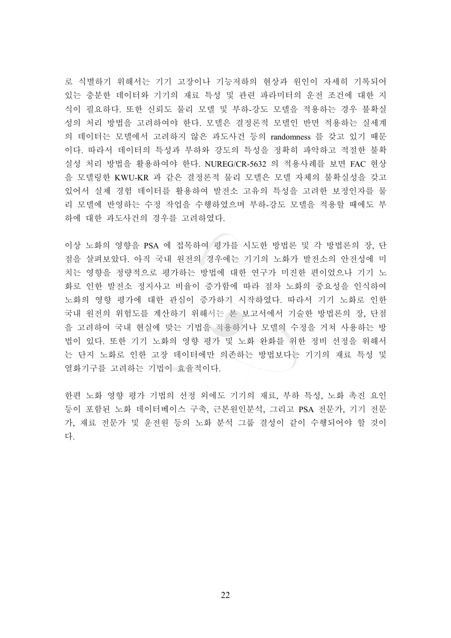로 식별하기 위해서는 기기 고장이나 기능저하의 현상과 원인이 자세히 기록되어 있는 충분한 데이터와 기기의 재료 특성 및 관련 파라미터의 운전 조건에 대한 지 식이 필요하다. 또한 신뢰도 물리 모델 및 부하-강도 모델을 적용하는 경우 불확실 성의 처리 방법을 고려하여야 한다. 모델은 결정론적 모델인 반면 적용하는 실세계 의 데이터는 모델에서 고려하지 않은 과도사건 등의 randomness 를 갖고 있기 때문 이다. 따라서 데이터의 특성과 부하와 강도의 특성을 정확히 파악하고 적절한 불확 실성 처리 방법을 활용하여야 한다. NUREG/CR-5632 의 적용사례를 보면 FAC 현상 을 모델링한 KWU-KR 과 같은 결정론적 물리 모델은 모델 자체의 불확실성을 갖고 있어서 실제 경험 데이터를 활용하여 발전소 고유의 특성을 고려한 보정인자를 물 리 모델에 반영하는 수정 작업을 수행하였으며 부하-강도 모델을 적용할 때에도 부 하에 대한 과도사건의 경우를 고려하였다.

이상 노화의 영향을 PSA 에 접목하여 평가를 시도한 방법론 및 각 방법론의 장, 단 점을 살펴보았다. 아직 국내 원전의 경우에는 기기의 노화가 발전소의 안전성에 미 치는 영향을 정량적으로 평가하는 방법에 대한 연구가 미진한 편이었으나 기기 노 화로 인한 발전소 정지사고 비율이 증가함에 따라 점차 노화의 중요성을 인식하여 노화의 영향 평가에 대한 관심이 증가하기 시작하였다. 따라서 기기 노화로 인한 국내 원전의 위험도를 계산하기 위해서는 본 보고서에서 기술한 방법론의 장, 단점 을 고려하여 국내 현실에 맞는 기법을 적용하거나 모델의 수정을 거쳐 사용하는 방 법이 있다. 또한 기기 노화의 영향 평가 및 노화 완화를 위한 정비 선정을 위해서 는 단지 노화로 인한 고장 데이터에만 의존하는 방법보다는 기기의 재료 특성 및 열화기구를 고려하는 기법이 효율적이다.

한편 노화 영향 평가 기법의 선정 외에도 기기의 재료, 부하 특성, 노화 촉진 요인 등이 포함된 노화 데이터베이스 구축, 근본원인분석, 그리고 PSA 전문가, 기기 전문 가, 재료 전문가 및 운전원 등의 노화 분석 그룹 결성이 같이 수행되어야 할 것이 다

<u>22</u>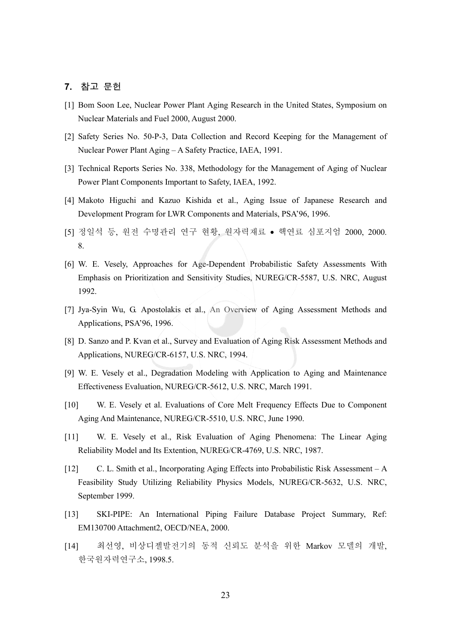#### 7. 참고 문헌

- [1] Bom Soon Lee, Nuclear Power Plant Aging Research in the United States, Symposium on Nuclear Materials and Fuel 2000, August 2000.
- [2] Safety Series No. 50-P-3, Data Collection and Record Keeping for the Management of Nuclear Power Plant Aging – A Safety Practice, IAEA, 1991.
- [3] Technical Reports Series No. 338, Methodology for the Management of Aging of Nuclear Power Plant Components Important to Safety, IAEA, 1992.
- [4] Makoto Higuchi and Kazuo Kishida et al., Aging Issue of Japanese Research and Development Program for LWR Components and Materials, PSA'96, 1996.
- [5] 정일석 등, 원전 수명관리 연구 현황, 원자력재료 핵연료 심포지엄 2000, 2000. 8.
- [6] W. E. Vesely, Approaches for Age-Dependent Probabilistic Safety Assessments With Emphasis on Prioritization and Sensitivity Studies, NUREG/CR-5587, U.S. NRC, August 1992.
- [7] Jya-Syin Wu, G. Apostolakis et al., An Overview of Aging Assessment Methods and Applications, PSA'96, 1996.
- [8] D. Sanzo and P. Kvan et al., Survey and Evaluation of Aging Risk Assessment Methods and Applications, NUREG/CR-6157, U.S. NRC, 1994.
- [9] W. E. Vesely et al., Degradation Modeling with Application to Aging and Maintenance Effectiveness Evaluation, NUREG/CR-5612, U.S. NRC, March 1991.
- [10] W. E. Vesely et al. Evaluations of Core Melt Frequency Effects Due to Component Aging And Maintenance, NUREG/CR-5510, U.S. NRC, June 1990.
- [11] W. E. Vesely et al., Risk Evaluation of Aging Phenomena: The Linear Aging Reliability Model and Its Extention, NUREG/CR-4769, U.S. NRC, 1987.
- [12] C. L. Smith et al., Incorporating Aging Effects into Probabilistic Risk Assessment A Feasibility Study Utilizing Reliability Physics Models, NUREG/CR-5632, U.S. NRC, September 1999.
- [13] SKI-PIPE: An International Piping Failure Database Project Summary, Ref: EM130700 Attachment2, OECD/NEA, 2000.
- [14] 최선영, 비상디젤발전기의 동적 신뢰도 분석을 위한 Markov 모델의 개발, 한국원자력연구소, 1998.5.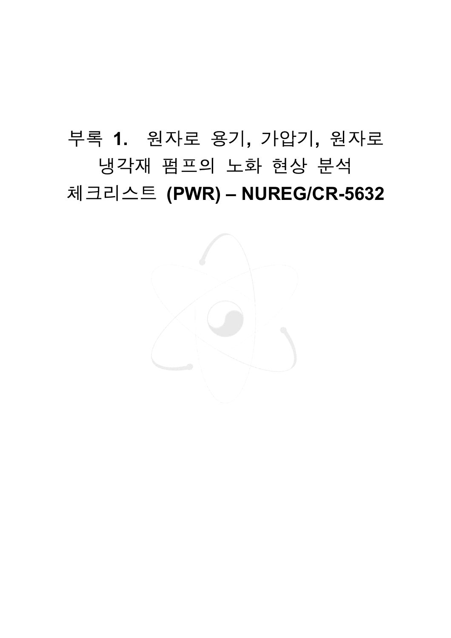# 抆嵣 **1.** 毖沖嵢 殯匶**,** 儆橛匶**,** 毖沖嵢 냉각재 펌프의 노화 현상 분석 체크리스트 (PWR) – NUREG/CR-5632

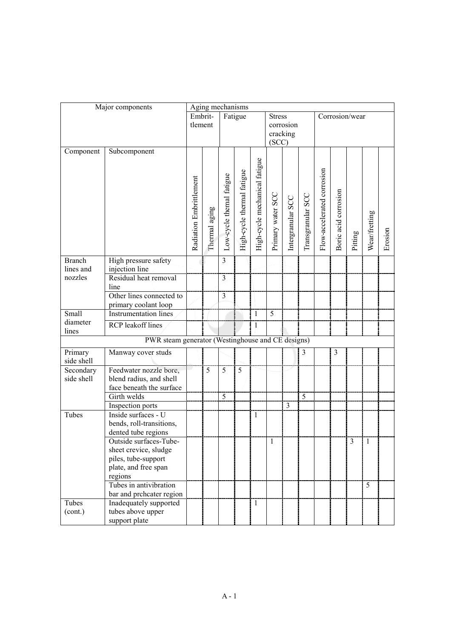|                   | Major components                                  |                         |               | Aging mechanisms         |                            |                               |                   |                   |                   |                            |                      |                |               |         |
|-------------------|---------------------------------------------------|-------------------------|---------------|--------------------------|----------------------------|-------------------------------|-------------------|-------------------|-------------------|----------------------------|----------------------|----------------|---------------|---------|
|                   |                                                   |                         |               |                          | Fatigue                    |                               | <b>Stress</b>     |                   |                   |                            | Corrosion/wear       |                |               |         |
|                   |                                                   | tlement                 |               |                          |                            |                               |                   | corrosion         |                   |                            |                      |                |               |         |
|                   |                                                   |                         |               |                          |                            |                               |                   | cracking          |                   |                            |                      |                |               |         |
|                   |                                                   |                         |               |                          |                            |                               | (SCC)             |                   |                   |                            |                      |                |               |         |
| Component         | Subcomponent                                      |                         |               |                          |                            |                               |                   |                   |                   |                            |                      |                |               |         |
|                   |                                                   |                         |               |                          |                            |                               |                   |                   |                   |                            |                      |                |               |         |
|                   |                                                   |                         |               |                          |                            |                               |                   |                   |                   |                            |                      |                |               |         |
|                   |                                                   |                         |               |                          |                            |                               |                   |                   |                   |                            |                      |                |               |         |
|                   |                                                   |                         |               |                          |                            |                               |                   |                   |                   |                            |                      |                |               |         |
|                   |                                                   |                         |               |                          |                            |                               |                   |                   |                   |                            |                      |                |               |         |
|                   |                                                   |                         |               |                          |                            |                               |                   |                   |                   |                            |                      |                |               |         |
|                   |                                                   | Radiation Embrittlement | Thermal aging | Low-cycle themal fatigue | High-cycle thermal fatigue | High-cycle mechanical fatigue | Primary water SCC | Intergranular SCC | Transgranular SCC | Flow-accelerated corrosion | Boric acid corrosion |                | Wear/fretting |         |
|                   |                                                   |                         |               |                          |                            |                               |                   |                   |                   |                            |                      |                |               |         |
|                   |                                                   |                         |               |                          |                            |                               |                   |                   |                   |                            |                      | Pitting        |               | Erosion |
|                   |                                                   |                         |               |                          |                            |                               |                   |                   |                   |                            |                      |                |               |         |
| <b>Branch</b>     | High pressure safety                              |                         |               | $\overline{3}$           |                            |                               |                   |                   |                   |                            |                      |                |               |         |
| lines and         | injection line                                    |                         |               |                          |                            |                               |                   |                   |                   |                            |                      |                |               |         |
| nozzles           | Residual heat removal                             |                         |               | $\overline{3}$           |                            |                               |                   |                   |                   |                            |                      |                |               |         |
|                   | line                                              |                         |               |                          |                            |                               |                   |                   |                   |                            |                      |                |               |         |
|                   | Other lines connected to                          |                         |               | $\overline{3}$           |                            |                               |                   |                   |                   |                            |                      |                |               |         |
|                   | primary coolant loop                              |                         |               |                          |                            |                               |                   |                   |                   |                            |                      |                |               |         |
| Small             | <b>Instrumentation lines</b>                      |                         |               |                          |                            | 1                             | 5                 |                   |                   |                            |                      |                |               |         |
| diameter<br>lines | <b>RCP</b> leakoff lines                          |                         |               |                          |                            | 1                             |                   |                   |                   |                            |                      |                |               |         |
|                   | PWR steam generator (Westinghouse and CE designs) |                         |               |                          |                            |                               |                   |                   |                   |                            |                      |                |               |         |
| Primary           | Manway cover studs                                |                         |               |                          |                            |                               |                   |                   | 3                 |                            | $\mathfrak{Z}$       |                |               |         |
| side shell        |                                                   |                         |               |                          |                            |                               |                   |                   |                   |                            |                      |                |               |         |
| Secondary         | Feedwater nozzle bore,                            |                         | 5             | 5                        | $\overline{5}$             |                               |                   |                   |                   |                            |                      |                |               |         |
| side shell        | blend radius, and shell                           |                         |               |                          |                            |                               |                   |                   |                   |                            |                      |                |               |         |
|                   | face beneath the surface                          |                         |               |                          |                            |                               |                   |                   |                   |                            |                      |                |               |         |
|                   | Girth welds                                       |                         |               | 5                        |                            |                               |                   |                   | $\overline{5}$    |                            |                      |                |               |         |
|                   | <b>Inspection</b> ports                           |                         |               |                          |                            |                               |                   | $\overline{3}$    |                   |                            |                      |                |               |         |
| Tubes             | Inside surfaces - U                               |                         |               |                          |                            | 1                             |                   |                   |                   |                            |                      |                |               |         |
|                   | bends, roll-transitions,                          |                         |               |                          |                            |                               |                   |                   |                   |                            |                      |                |               |         |
|                   | dented tube regions                               |                         |               |                          |                            |                               | $\mathbf{1}$      |                   |                   |                            |                      | $\overline{3}$ | $\mathbf{1}$  |         |
|                   | Outside surfaces-Tube-<br>sheet crevice, sludge   |                         |               |                          |                            |                               |                   |                   |                   |                            |                      |                |               |         |
|                   | piles, tube-support                               |                         |               |                          |                            |                               |                   |                   |                   |                            |                      |                |               |         |
|                   | plate, and free span                              |                         |               |                          |                            |                               |                   |                   |                   |                            |                      |                |               |         |
|                   | regions                                           |                         |               |                          |                            |                               |                   |                   |                   |                            |                      |                |               |         |
|                   | Tubes in antivibration                            |                         |               |                          |                            |                               |                   |                   |                   |                            |                      |                | 5             |         |
|                   | bar and prchcater region                          |                         |               |                          |                            |                               |                   |                   |                   |                            |                      |                |               |         |
| Tubes             | Inadequately supported                            |                         |               |                          |                            | $\mathbf{1}$                  |                   |                   |                   |                            |                      |                |               |         |
| (cont.)           | tubes above upper                                 |                         |               |                          |                            |                               |                   |                   |                   |                            |                      |                |               |         |
|                   | support plate                                     |                         |               |                          |                            |                               |                   |                   |                   |                            |                      |                |               |         |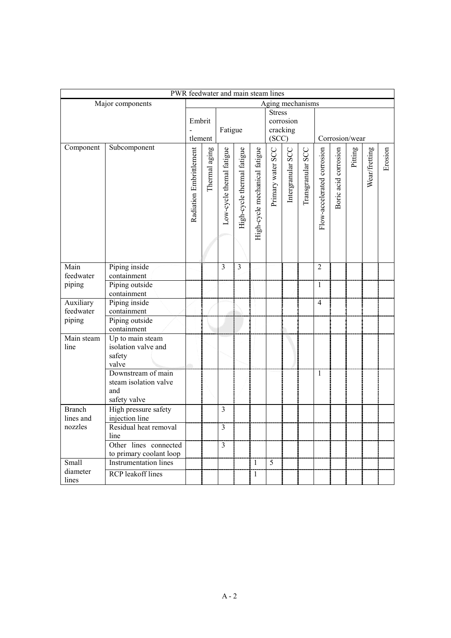|                      |                                                                    |                   |               | PWR feedwater and main steam lines |                            |                                                 |                   |                   |                   |                            |                      |         |               |         |
|----------------------|--------------------------------------------------------------------|-------------------|---------------|------------------------------------|----------------------------|-------------------------------------------------|-------------------|-------------------|-------------------|----------------------------|----------------------|---------|---------------|---------|
|                      | Major components                                                   |                   |               |                                    |                            |                                                 |                   | Aging mechanisms  |                   |                            |                      |         |               |         |
|                      |                                                                    | Embrit<br>tlement |               | Fatigue                            |                            | <b>Stress</b><br>corrosion<br>cracking<br>(SCC) |                   | Corrosion/wear    |                   |                            |                      |         |               |         |
| Component            | Subcomponent                                                       |                   | Thermal aging | Low-cycle themal fatigue           | High-cycle thermal fatigue | High-cycle mechanical fatigue                   | Primary water SCC | Intergranular SCC | Transgranular SCC | Flow-accelerated corrosion | Boric acid corrosion | Pitting | Wear/fretting | Erosion |
| Main                 | Piping inside                                                      |                   |               | 3                                  | $\overline{\mathbf{3}}$    |                                                 |                   |                   |                   | $\overline{2}$             |                      |         |               |         |
| feedwater            | containment                                                        |                   |               |                                    |                            |                                                 |                   |                   |                   |                            |                      |         |               |         |
| piping               | Piping outside<br>containment                                      |                   |               |                                    |                            |                                                 |                   |                   |                   | $\mathbf{1}$               |                      |         |               |         |
| Auxiliary            | Piping inside                                                      |                   |               |                                    |                            |                                                 |                   |                   |                   | $\overline{4}$             |                      |         |               |         |
| feedwater            | containment                                                        |                   |               |                                    |                            |                                                 |                   |                   |                   |                            |                      |         |               |         |
| piping               | Piping outside<br>containment                                      |                   |               |                                    |                            |                                                 |                   |                   |                   |                            |                      |         |               |         |
| Main steam<br>line   | Up to main steam<br>isolation valve and<br>safety<br>valve         |                   |               |                                    |                            |                                                 |                   |                   |                   |                            |                      |         |               |         |
|                      | Downstream of main<br>steam isolation valve<br>and<br>safety valve |                   |               |                                    |                            |                                                 |                   |                   |                   | $\mathbf{1}$               |                      |         |               |         |
| <b>Branch</b>        | High pressure safety                                               |                   |               | $\overline{3}$                     |                            |                                                 |                   |                   |                   |                            |                      |         |               |         |
| lines and<br>nozzles | injection line<br>Residual heat removal                            |                   |               | $\overline{3}$                     |                            |                                                 |                   |                   |                   |                            |                      |         |               |         |
|                      | line                                                               |                   |               |                                    |                            |                                                 |                   |                   |                   |                            |                      |         |               |         |
|                      | Other lines connected<br>to primary coolant loop                   |                   |               | $\overline{3}$                     |                            |                                                 |                   |                   |                   |                            |                      |         |               |         |
| Small                | <b>Instrumentation lines</b>                                       |                   |               |                                    |                            | $\,1$                                           | $\overline{5}$    |                   |                   |                            |                      |         |               |         |
| diameter<br>lines    | <b>RCP</b> leakoff lines                                           |                   |               |                                    |                            | $\mathbf{1}$                                    |                   |                   |                   |                            |                      |         |               |         |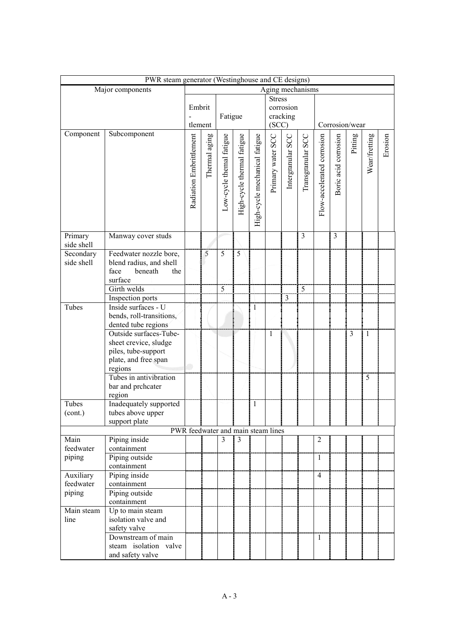|                         |                                                                                                           | PWR steam generator (Westinghouse and CE designs)<br>Aging mechanisms |               |                          |                                    |                               |                       |                         |                   |                            |                      |                |               |         |
|-------------------------|-----------------------------------------------------------------------------------------------------------|-----------------------------------------------------------------------|---------------|--------------------------|------------------------------------|-------------------------------|-----------------------|-------------------------|-------------------|----------------------------|----------------------|----------------|---------------|---------|
|                         | Major components                                                                                          |                                                                       |               |                          |                                    |                               |                       |                         |                   |                            |                      |                |               |         |
|                         |                                                                                                           |                                                                       |               | Fatigue                  |                                    | <b>Stress</b><br>(SCC)        | corrosion<br>cracking |                         | Corrosion/wear    |                            |                      |                |               |         |
| Component               | Subcomponent                                                                                              | Radiation Embrittlement                                               | Thermal aging | Low-cycle themal fatigue | High-cycle thermal fatigue         | High-cycle mechanical fatigue | Primary water SCC     | Intergranular SCC       | Transgranular SCC | Flow-accelerated corrosion | Boric acid corrosion | Pitting        | Wear/fretting | Erosion |
| Primary<br>side shell   | Manway cover studs                                                                                        |                                                                       |               |                          |                                    |                               |                       |                         | $\overline{3}$    |                            | 3                    |                |               |         |
| Secondary<br>side shell | Feedwater nozzle bore,<br>blend radius, and shell<br>face<br>beneath<br>the<br>surface                    |                                                                       | 5             | 5                        | 5                                  |                               |                       |                         |                   |                            |                      |                |               |         |
|                         | Girth welds                                                                                               |                                                                       |               | 5                        |                                    |                               |                       |                         | 5                 |                            |                      |                |               |         |
|                         | Inspection ports                                                                                          |                                                                       |               |                          |                                    |                               |                       | $\overline{\mathbf{3}}$ |                   |                            |                      |                |               |         |
| Tubes                   | Inside surfaces - U<br>bends, roll-transitions,<br>dented tube regions                                    |                                                                       |               |                          |                                    | 1                             |                       |                         |                   |                            |                      |                |               |         |
|                         | Outside surfaces-Tube-<br>sheet crevice, sludge<br>piles, tube-support<br>plate, and free span<br>regions |                                                                       |               |                          |                                    |                               | 1                     |                         |                   |                            |                      | $\overline{3}$ | 1             |         |
|                         | Tubes in antivibration<br>bar and prchcater<br>region                                                     |                                                                       |               |                          |                                    |                               |                       |                         |                   |                            |                      |                | 5             |         |
| Tubes<br>(cont.)        | Inadequately supported<br>tubes above upper<br>support plate                                              |                                                                       |               |                          |                                    | 1                             |                       |                         |                   |                            |                      |                |               |         |
|                         |                                                                                                           |                                                                       |               |                          | PWR feedwater and main steam lines |                               |                       |                         |                   |                            |                      |                |               |         |
| Main<br>feedwater       | Piping inside<br>containment                                                                              |                                                                       |               | 3                        | 3                                  |                               |                       |                         |                   | $\overline{2}$             |                      |                |               |         |
| piping                  | Piping outside<br>containment                                                                             |                                                                       |               |                          |                                    |                               |                       |                         |                   | $\mathbf{1}$               |                      |                |               |         |
| Auxiliary<br>feedwater  | Piping inside<br>containment                                                                              |                                                                       |               |                          |                                    |                               |                       |                         |                   | $\overline{4}$             |                      |                |               |         |
| piping                  | Piping outside                                                                                            |                                                                       |               |                          |                                    |                               |                       |                         |                   |                            |                      |                |               |         |
|                         | containment                                                                                               |                                                                       |               |                          |                                    |                               |                       |                         |                   |                            |                      |                |               |         |
| Main steam<br>line      | Up to main steam<br>isolation valve and<br>safety valve                                                   |                                                                       |               |                          |                                    |                               |                       |                         |                   |                            |                      |                |               |         |
|                         | Downstream of main<br>steam isolation valve<br>and safety valve                                           |                                                                       |               |                          |                                    |                               |                       |                         |                   | $\mathbf{1}$               |                      |                |               |         |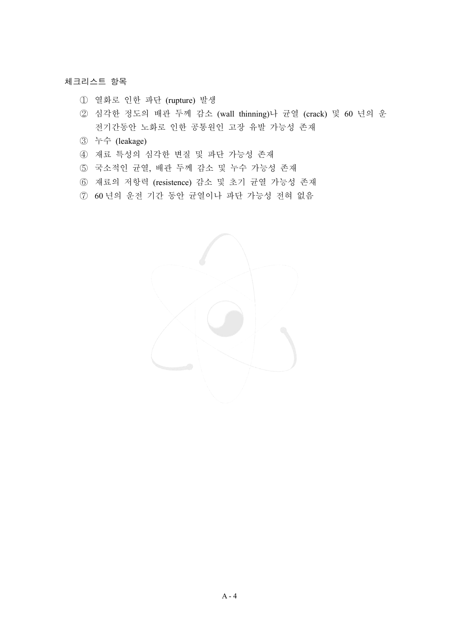#### 체크리스트 항목

- ① 열화로 인한 파단 (rupture) 발생
- ② 심각한 정도의 배관 두께 감소 (wall thinning)나 균열 (crack) 및 60 년의 운 전기간동안 노화로 인한 공통원인 고장 유발 가능성 존재
- ཝ 㑮 (leakage)
- 4) 재료 특성의 심각한 변질 및 파단 가능성 존재
- 5 국소적인 균열, 배관 두께 감소 및 누수 가능성 존재
- 6 재료의 저항력 (resistence) 감소 및 초기 균열 가능성 존재
- 7 60 년의 운전 기간 동안 균열이나 파단 가능성 전혀 없음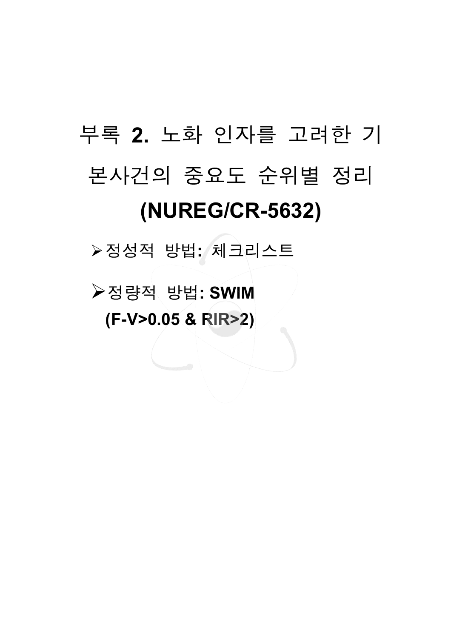# 부록 2. 노화 인자를 고려한 기 본사건의 중요도 순위별 정리 **(NUREG/CR-5632)**

▷ 정성적 방법: 체크리스트

**▷정량적 방법: SWIM (F-V>0.05 & RIR>2)**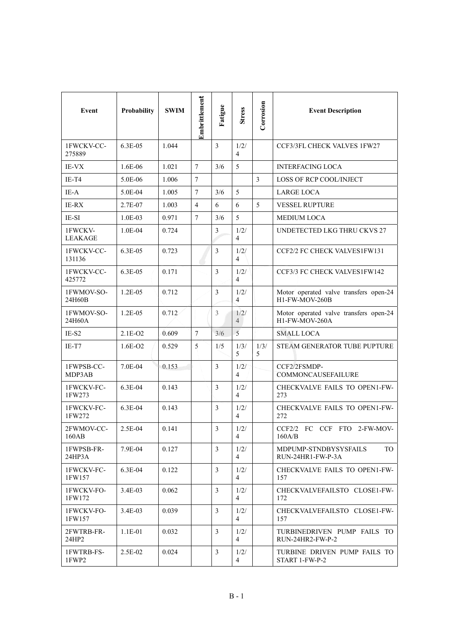| Event                     | Probability  | <b>SWIM</b> | Embrittlement  | Fatigue        | <b>Stress</b>          | Corrosion      | <b>Event Description</b>                                 |
|---------------------------|--------------|-------------|----------------|----------------|------------------------|----------------|----------------------------------------------------------|
| 1FWCKV-CC-<br>275889      | $6.3E-0.5$   | 1.044       |                | $\overline{3}$ | 1/2/<br>$\overline{4}$ |                | CCF3/3FL CHECK VALVES 1FW27                              |
| <b>IE-VX</b>              | 1.6E-06      | 1.021       | $\tau$         | 3/6            | 5                      |                | <b>INTERFACING LOCA</b>                                  |
| IE-T4                     | 5.0E-06      | 1.006       | $\tau$         |                |                        | $\overline{3}$ | LOSS OF RCP COOL/INJECT                                  |
| IE-A                      | 5.0E-04      | 1.005       | $\tau$         | 3/6            | 5                      |                | <b>LARGE LOCA</b>                                        |
| <b>IE-RX</b>              | 2.7E-07      | 1.003       | 4              | 6              | 6                      | 5              | <b>VESSEL RUPTURE</b>                                    |
| IE-SI                     | $1.0E-03$    | 0.971       | $\overline{7}$ | 3/6            | 5                      |                | <b>MEDIUM LOCA</b>                                       |
| 1FWCKV-<br><b>LEAKAGE</b> | $1.0E-04$    | 0.724       |                | 3              | 1/2/<br>$\overline{4}$ |                | UNDETECTED LKG THRU CKVS 27                              |
| 1FWCKV-CC-<br>131136      | $6.3E-0.5$   | 0.723       |                | 3              | 1/2/<br>$\overline{4}$ |                | CCF2/2 FC CHECK VALVES1FW131                             |
| 1FWCKV-CC-<br>425772      | $6.3E-0.5$   | 0.171       |                | $\mathfrak{Z}$ | 1/2/<br>$\overline{4}$ |                | CCF3/3 FC CHECK VALVES1FW142                             |
| 1FWMOV-SO-<br>24H60B      | $1.2E-0.5$   | 0.712       |                | 3              | 1/2/<br>$\overline{4}$ |                | Motor operated valve transfers open-24<br>H1-FW-MOV-260B |
| 1FWMOV-SO-<br>24H60A      | $1.2E - 0.5$ | 0.712       |                | 3              | 1/2/<br>$\overline{4}$ |                | Motor operated valve transfers open-24<br>H1-FW-MOV-260A |
| $IE-S2$                   | 2.1E-O2      | 0.609       | $\overline{7}$ | 3/6            | 5                      |                | <b>SMALL LOCA</b>                                        |
| $IE-T7$                   | $1.6E-O2$    | 0.529       | 5              | 1/5            | 1/3/<br>5              | 1/3/<br>5      | STEAM GENERATOR TUBE PUPTURE                             |
| 1FWPSB-CC-<br>MDP3AB      | 7.0E-04      | 0.153       |                | 3              | 1/2/<br>$\overline{4}$ |                | CCF2/2FSMDP-<br><b>COMMONCAUSEFAILURE</b>                |
| 1FWCKV-FC-<br>1FW273      | 6.3E-04      | 0.143       |                | $\overline{3}$ | 1/2/<br>$\overline{4}$ |                | CHECKVALVE FAILS TO OPEN1-FW-<br>273                     |
| 1FWCKV-FC-<br>1FW272      | 6.3E-04      | 0.143       |                | $\mathfrak{Z}$ | 1/2/<br>$\overline{4}$ |                | CHECKVALVE FAILS TO OPEN1-FW-<br>272                     |
| 2FWMOV-CC-<br>160AB       | 2.5E-04      | 0.141       |                | 3              | 1/2/<br>$\overline{4}$ |                | CCF2/2 FC CCF FTO 2-FW-MOV-<br>160A/B                    |
| 1FWPSB-FR-<br>24HP3A      | 7.9E-04      | 0.127       |                | 3              | 1/2/<br>4              |                | TO<br>MDPUMP-STNDBYSYSFAILS<br>RUN-24HR1-FW-P-3A         |
| 1FWCKV-FC-<br>1FW157      | $6.3E-04$    | 0.122       |                | 3              | 1/2/<br>$\overline{4}$ |                | CHECKVALVE FAILS TO OPEN1-FW-<br>157                     |
| 1FWCKV-FO-<br>1FW172      | 3.4E-03      | 0.062       |                | 3              | 1/2/<br>$\overline{4}$ |                | CHECKVALVEFAILSTO CLOSE1-FW-<br>172                      |
| 1FWCKV-FO-<br>1FW157      | $3.4E-03$    | 0.039       |                | 3              | 1/2/<br>$\overline{4}$ |                | CHECKVALVEFAILSTO CLOSE1-FW-<br>157                      |
| 2FWTRB-FR-<br>24HP2       | $1.1E-01$    | 0.032       |                | 3              | 1/2/<br>$\overline{4}$ |                | TURBINEDRIVEN PUMP FAILS TO<br>RUN-24HR2-FW-P-2          |
| 1FWTRB-FS-<br>1FWP2       | 2.5E-02      | 0.024       |                | 3              | 1/2/<br>$\overline{4}$ |                | TURBINE DRIVEN PUMP FAILS TO<br>START 1-FW-P-2           |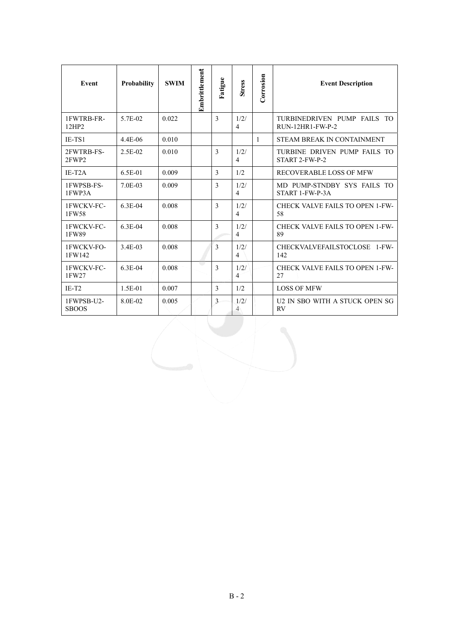| Event                      | <b>Probability</b>   | <b>SWIM</b> | Embrittlement | Fatigue       | <b>Stress</b>          | Corrosion | <b>Event Description</b>                        |
|----------------------------|----------------------|-------------|---------------|---------------|------------------------|-----------|-------------------------------------------------|
| 1FWTRB-FR-<br>12HP2        | 5.7E-02              | 0.022       |               | 3             | 1/2/<br>$\overline{4}$ |           | TURBINEDRIVEN PUMP FAILS TO<br>RUN-12HR1-FW-P-2 |
| $IE-TS1$                   | 4.4E-06              | 0.010       |               |               |                        | 1         | STEAM BREAK IN CONTAINMENT                      |
| 2FWTRB-FS-<br>2FWP2        | 2.5E-02              | 0.010       |               | 3             | 1/2/<br>$\overline{4}$ |           | TURBINE DRIVEN PUMP FAILS TO<br>START 2-FW-P-2  |
| $IE-T2A$                   | $6.5E-01$            | 0.009       |               | 3             | 1/2                    |           | RECOVERABLE LOSS OF MFW                         |
| 1FWPSB-FS-<br>1FWP3A       | 7.0E-03              | 0.009       |               | 3             | 1/2/<br>$\overline{4}$ |           | MD PUMP-STNDBY SYS FAILS TO<br>START 1-FW-P-3A  |
| 1FWCKV-FC-<br>1FW58        | $63E-04$             | 0.008       |               | $\mathcal{E}$ | 1/2/<br>$\overline{4}$ |           | CHECK VALVE FAILS TO OPEN 1-FW-<br>58           |
| 1FWCKV-FC-<br>1FW89        | $63E-04$             | 0.008       |               | $\mathcal{E}$ | 1/2/<br>$\overline{4}$ |           | CHECK VALVE FAILS TO OPEN 1-FW-<br>89           |
| 1FWCKV-FO-<br>1FW142       | 34E-03               | 0.008       |               | $\mathcal{E}$ | 1/2/<br>4              |           | CHECKVALVEFAILSTOCLOSE 1-FW-<br>142             |
| 1FWCKV-FC-<br>1FW27        | 6.3E-04              | 0.008       |               | $\mathcal{E}$ | 1/2/<br>$\overline{4}$ |           | CHECK VALVE FAILS TO OPEN 1-FW-<br>27           |
| $IE-T2$                    | $1.5E-01$            | 0.007       |               | 3             | 1/2.                   |           | <b>LOSS OF MEW</b>                              |
| 1FWPSB-U2-<br><b>SBOOS</b> | 8 0 <sub>E</sub> -02 | 0.005       |               | 3             | 1/2/<br>4              |           | U2 IN SBO WITH A STUCK OPEN SG<br><b>RV</b>     |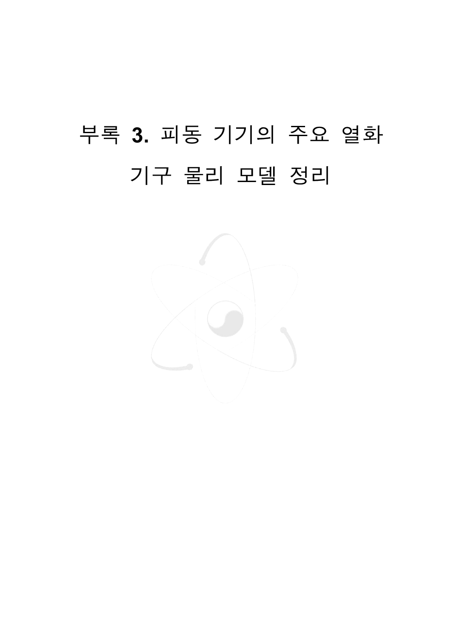# 부록 3. 피동 기기의 주요 열화 기구 물리 모델 정리

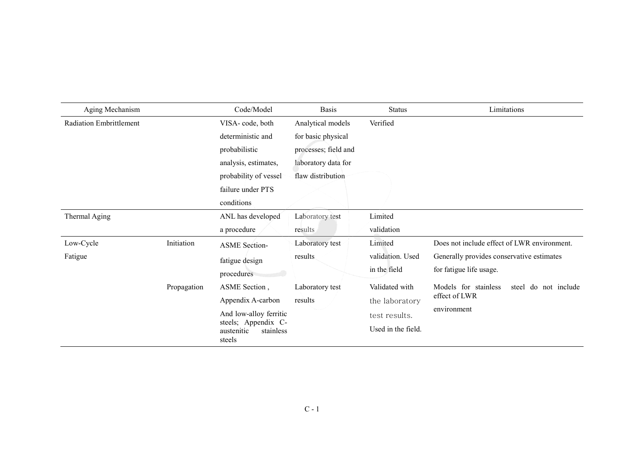| Aging Mechanism                |                           | Code/Model                                                                                                                                                                       | <b>Basis</b>                                                                                                | Status                                                                                                                 | Limitations                                                                                                                                                                                         |
|--------------------------------|---------------------------|----------------------------------------------------------------------------------------------------------------------------------------------------------------------------------|-------------------------------------------------------------------------------------------------------------|------------------------------------------------------------------------------------------------------------------------|-----------------------------------------------------------------------------------------------------------------------------------------------------------------------------------------------------|
| <b>Radiation Embrittlement</b> |                           | VISA-code, both<br>deterministic and<br>probabilistic<br>analysis, estimates,<br>probability of vessel<br>failure under PTS<br>conditions                                        | Analytical models<br>for basic physical<br>processes; field and<br>laboratory data for<br>flaw distribution | Verified                                                                                                               |                                                                                                                                                                                                     |
| Thermal Aging                  |                           | ANL has developed<br>a procedure                                                                                                                                                 | Laboratory test<br>results                                                                                  | Limited<br>validation                                                                                                  |                                                                                                                                                                                                     |
| Low-Cycle<br>Fatigue           | Initiation<br>Propagation | <b>ASME</b> Section-<br>fatigue design<br>procedures<br>ASME Section,<br>Appendix A-carbon<br>And low-alloy ferritic<br>steels; Appendix C-<br>austenitic<br>stainless<br>steels | Laboratory test<br>results<br>Laboratory test<br>results                                                    | Limited<br>validation. Used<br>in the field<br>Validated with<br>the laboratory<br>test results.<br>Used in the field. | Does not include effect of LWR environment.<br>Generally provides conservative estimates<br>for fatigue life usage.<br>Models for stainless<br>steel do not include<br>effect of LWR<br>environment |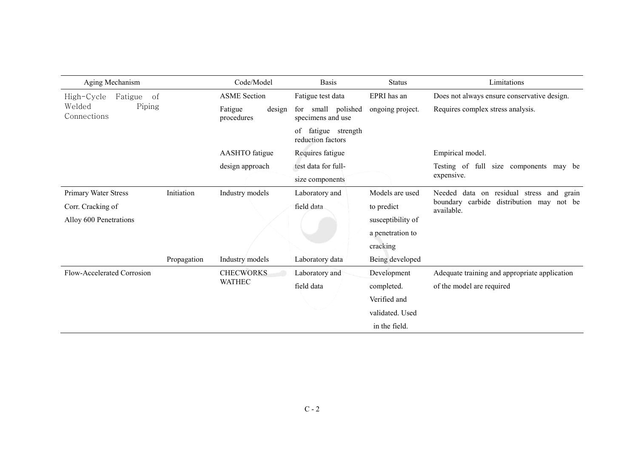| Aging Mechanism                 |                               | Code/Model                      | <b>Basis</b>                                | <b>Status</b>     | Limitations                                                     |
|---------------------------------|-------------------------------|---------------------------------|---------------------------------------------|-------------------|-----------------------------------------------------------------|
| High-Cycle<br>Fatigue<br>of     |                               | <b>ASME</b> Section             | Fatigue test data                           | EPRI has an       | Does not always ensure conservative design.                     |
| Welded<br>Piping<br>Connections |                               | Fatigue<br>design<br>procedures | small polished<br>for<br>specimens and use  | ongoing project.  | Requires complex stress analysis.                               |
|                                 |                               |                                 | fatigue strength<br>οf<br>reduction factors |                   |                                                                 |
|                                 |                               | <b>AASHTO</b> fatigue           | Requires fatigue                            |                   | Empirical model.                                                |
|                                 |                               | design approach                 | test data for full-                         |                   | Testing of full size components<br>may be                       |
|                                 |                               |                                 | size components                             |                   | expensive.                                                      |
| <b>Primary Water Stress</b>     | Initiation<br>Industry models |                                 | Laboratory and                              | Models are used   | data on residual stress and<br>Needed<br>grain                  |
| Corr. Cracking of               |                               |                                 | field data                                  | to predict        | carbide<br>distribution may<br>boundary<br>not be<br>available. |
| Alloy 600 Penetrations          |                               |                                 |                                             | susceptibility of |                                                                 |
|                                 |                               |                                 |                                             | a penetration to  |                                                                 |
|                                 |                               |                                 |                                             | cracking          |                                                                 |
|                                 | Propagation                   | Industry models                 | Laboratory data                             | Being developed   |                                                                 |
| Flow-Accelerated Corrosion      |                               | <b>CHECWORKS</b>                | Laboratory and                              | Development       | Adequate training and appropriate application                   |
|                                 |                               | <b>WATHEC</b>                   | field data                                  | completed.        | of the model are required                                       |
|                                 |                               |                                 |                                             | Verified and      |                                                                 |
|                                 |                               |                                 |                                             | validated. Used   |                                                                 |
|                                 |                               |                                 |                                             | in the field.     |                                                                 |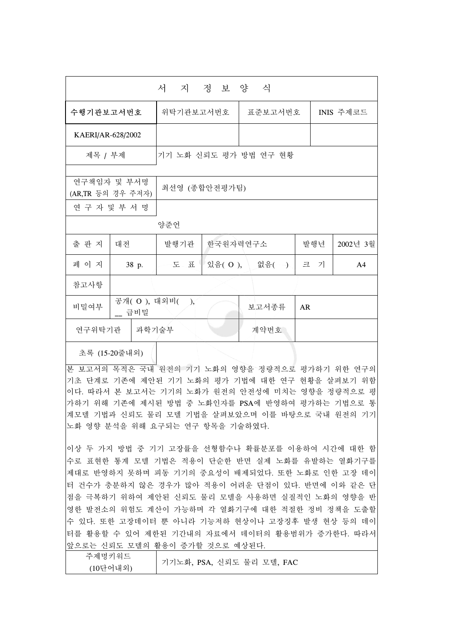|                   |                                  | 서 지                   | 정 보 양 식  |           |     |                |  |  |  |
|-------------------|----------------------------------|-----------------------|----------|-----------|-----|----------------|--|--|--|
| 수행기관보고서번호         |                                  | 위탁기관보고서번호             | 표준보고서번호  | INIS 주제코드 |     |                |  |  |  |
| KAERI/AR-628/2002 |                                  |                       |          |           |     |                |  |  |  |
| 제목 / 부제           |                                  | 기기 노화 신뢰도 평가 방법 연구 현황 |          |           |     |                |  |  |  |
|                   | 연구책임자 및 부서명<br>(AR,TR 등의 경우 주저자) | 최선영 (종합안전평가팀)         |          |           |     |                |  |  |  |
|                   | 연 구 자 및 부 서 명                    |                       |          |           |     |                |  |  |  |
|                   |                                  | 양준언                   |          |           |     |                |  |  |  |
| 출 판 지             | 대전                               | 발행기관                  | 한국원자력연구소 |           | 발행년 | 2002년 3월       |  |  |  |
| 페 이 지             | 38 p.                            | 上 玉                   | 있음(O),   | 없음(一)     | 크 기 | A <sub>4</sub> |  |  |  |
| 참고사항              |                                  |                       |          |           |     |                |  |  |  |
| 비밀여부              | 공개(O), 대외비(<br>__ 급비밀            | $\mathcal{L}$         |          | 보고서종류     | AR  |                |  |  |  |
| 연구위탁기관            | 과학기술부                            |                       |          | 계약번호      |     |                |  |  |  |
|                   |                                  |                       |          |           |     |                |  |  |  |

초록 (15-20줄내외)

본 보고서의 목적은 국내 원전의 기기 노화의 영향을 정량적으로 평가하기 위한 연구의 기초 단계로 기존에 제안된 기기 노화의 평가 기법에 대한 연구 현황을 살펴보기 위함 이다. 따라서 본 보고서는 기기의 노화가 원전의 안전성에 미치는 영향을 정량적으로 평 가하기 위해 기존에 제시된 방법 중 노화인자를 PSA에 반영하여 평가하는 기법으로 통 계모델 기법과 신뢰도 물리 모델 기법을 살펴보았으며 이를 바탕으로 국내 원전의 기기 노화 영향 분석을 위해 요구되는 연구 항목을 기술하였다.

이상 두 가지 방법 중 기기 고장률을 선형함수나 확률분포를 이용하여 시간에 대한 함 수로 표현한 통계 모델 기법은 적용이 단순한 반면 실제 노화를 유발하는 열화기구를 제대로 반영하지 못하며 피동 기기의 중요성이 배제되었다. 또한 노화로 인한 고장 데이 터 건수가 충분하지 않은 경우가 많아 적용이 어려운 단점이 있다. 반면에 이와 같은 단 점을 극복하기 위하여 제안된 신뢰도 물리 모델을 사용하면 실질적인 노화의 영향을 반 영한 발전소의 위험도 계산이 가능하며 각 열화기구에 대한 적절한 정비 정책을 도출할 수 있다. 또한 고장데이터 뿐 아니라 기능저하 현상이나 고장징후 발생 현상 등의 데이 터를 활용할 수 있어 제한된 기간내의 자료에서 데이터의 활용범위가 증가한다. 따라서 앞으로는 신뢰도 모델의 활용이 증가할 것으로 예상된다.

| 주제명키워드   |                           |
|----------|---------------------------|
| (10단어내외) | 기기노화, PSA, 신뢰도 물리 모델, FAC |